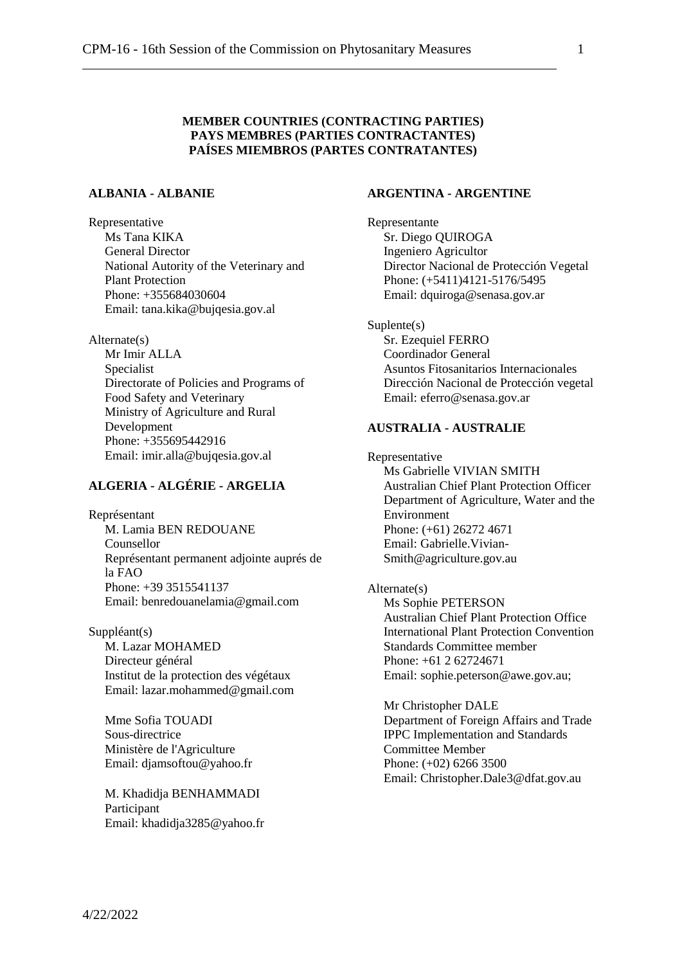### **MEMBER COUNTRIES (CONTRACTING PARTIES) PAYS MEMBRES (PARTIES CONTRACTANTES) PAÍSES MIEMBROS (PARTES CONTRATANTES)**

## **ALBANIA - ALBANIE**

Representative Ms Tana KIKA General Director National Autority of the Veterinary and Plant Protection Phone: +355684030604 Email: tana.kika@bujqesia.gov.al

Alternate(s)

Mr Imir ALLA Specialist Directorate of Policies and Programs of Food Safety and Veterinary Ministry of Agriculture and Rural Development Phone: +355695442916 Email: imir.alla@bujqesia.gov.al

## **ALGERIA - ALGÉRIE - ARGELIA**

Représentant M. Lamia BEN REDOUANE Counsellor Représentant permanent adjointe auprés de la FAO Phone: +39 3515541137 Email: benredouanelamia@gmail.com

Suppléant(s) M. Lazar MOHAMED Directeur général Institut de la protection des végétaux Email: lazar.mohammed@gmail.com

Mme Sofia TOUADI Sous-directrice Ministère de l'Agriculture Email: djamsoftou@yahoo.fr

M. Khadidja BENHAMMADI Participant Email: khadidja3285@yahoo.fr

## **ARGENTINA - ARGENTINE**

Representante Sr. Diego QUIROGA Ingeniero Agricultor Director Nacional de Protección Vegetal Phone: (+5411)4121-5176/5495 Email: dquiroga@senasa.gov.ar

Suplente(s) Sr. Ezequiel FERRO Coordinador General Asuntos Fitosanitarios Internacionales Dirección Nacional de Protección vegetal Email: eferro@senasa.gov.ar

### **AUSTRALIA - AUSTRALIE**

Representative Ms Gabrielle VIVIAN SMITH Australian Chief Plant Protection Officer Department of Agriculture, Water and the Environment Phone: (+61) 26272 4671 Email: Gabrielle.Vivian-Smith@agriculture.gov.au

Alternate(s) Ms Sophie PETERSON Australian Chief Plant Protection Office International Plant Protection Convention Standards Committee member Phone: +61 2 62724671 Email: sophie.peterson@awe.gov.au;

Mr Christopher DALE Department of Foreign Affairs and Trade IPPC Implementation and Standards Committee Member Phone: (+02) 6266 3500 Email: Christopher.Dale3@dfat.gov.au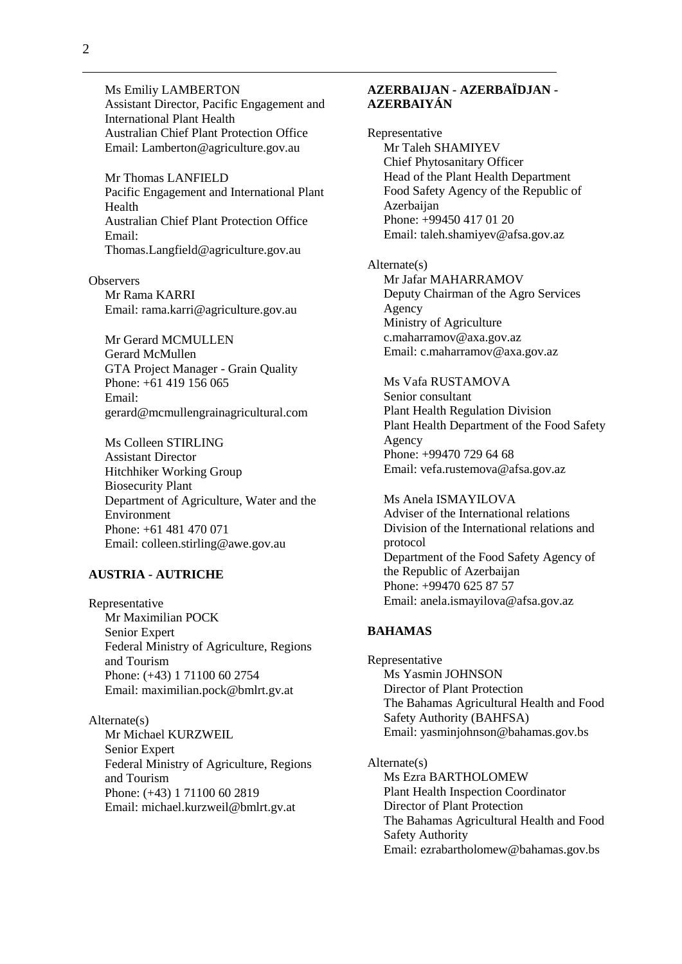Ms Emiliy LAMBERTON Assistant Director, Pacific Engagement and International Plant Health Australian Chief Plant Protection Office Email: Lamberton@agriculture.gov.au

Mr Thomas LANFIELD Pacific Engagement and International Plant Health Australian Chief Plant Protection Office Email: Thomas.Langfield@agriculture.gov.au

**Observers** Mr Rama KARRI Email: rama.karri@agriculture.gov.au

Mr Gerard MCMULLEN Gerard McMullen GTA Project Manager - Grain Quality Phone: +61 419 156 065 Email: gerard@mcmullengrainagricultural.com

Ms Colleen STIRLING Assistant Director Hitchhiker Working Group Biosecurity Plant Department of Agriculture, Water and the Environment Phone: +61 481 470 071 Email: colleen.stirling@awe.gov.au

## **AUSTRIA - AUTRICHE**

Representative Mr Maximilian POCK Senior Expert Federal Ministry of Agriculture, Regions and Tourism Phone: (+43) 1 71100 60 2754 Email: maximilian.pock@bmlrt.gv.at

Alternate(s) Mr Michael KURZWEIL Senior Expert Federal Ministry of Agriculture, Regions and Tourism Phone: (+43) 1 71100 60 2819 Email: michael.kurzweil@bmlrt.gv.at

## **AZERBAIJAN - AZERBAÏDJAN - AZERBAIYÁN**

Representative Mr Taleh SHAMIYEV Chief Phytosanitary Officer Head of the Plant Health Department Food Safety Agency of the Republic of **Azerbaijan** Phone: +99450 417 01 20 Email: taleh.shamiyev@afsa.gov.az

Alternate(s) Mr Jafar MAHARRAMOV Deputy Chairman of the Agro Services Agency Ministry of Agriculture c.maharramov@axa.gov.az Email: c.maharramov@axa.gov.az

Ms Vafa RUSTAMOVA Senior consultant Plant Health Regulation Division Plant Health Department of the Food Safety Agency Phone: +99470 729 64 68 Email: vefa.rustemova@afsa.gov.az

Ms Anela ISMAYILOVA Adviser of the International relations Division of the International relations and protocol Department of the Food Safety Agency of the Republic of Azerbaijan Phone: +99470 625 87 57 Email: anela.ismayilova@afsa.gov.az

#### **BAHAMAS**

Representative Ms Yasmin JOHNSON Director of Plant Protection The Bahamas Agricultural Health and Food Safety Authority (BAHFSA) Email: yasminjohnson@bahamas.gov.bs

Alternate(s) Ms Ezra BARTHOLOMEW Plant Health Inspection Coordinator Director of Plant Protection The Bahamas Agricultural Health and Food Safety Authority Email: ezrabartholomew@bahamas.gov.bs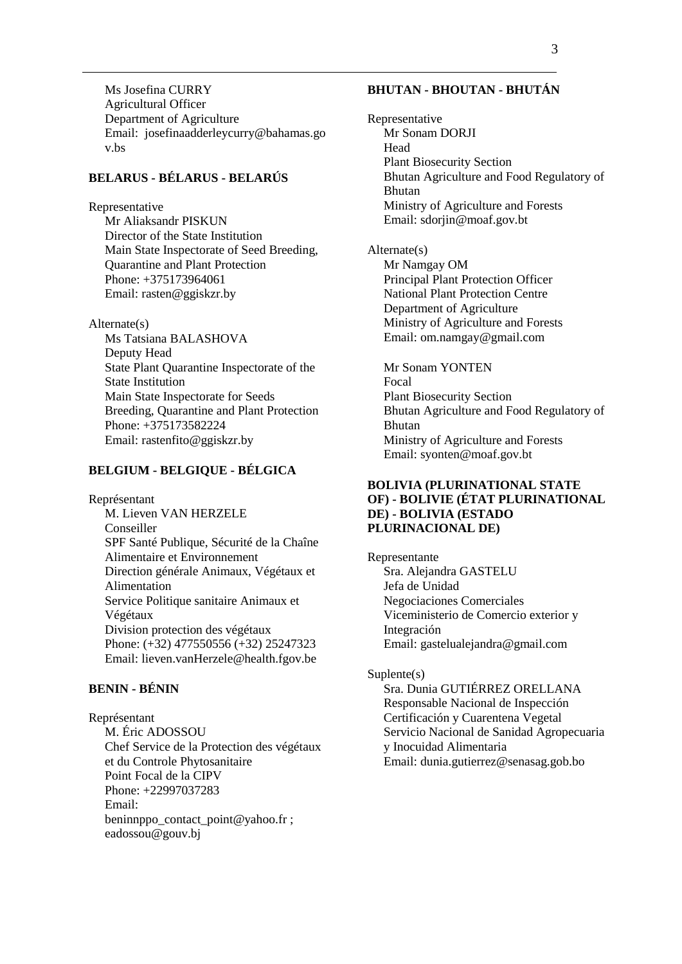Ms Josefina CURRY Agricultural Officer Department of Agriculture Email: josefinaadderleycurry@bahamas.go v.bs

## **BELARUS - BÉLARUS - BELARÚS**

Representative

Mr Aliaksandr PISKUN Director of the State Institution Main State Inspectorate of Seed Breeding, Quarantine and Plant Protection Phone: +375173964061 Email: rasten@ggiskzr.by

Alternate(s)

Ms Tatsiana BALASHOVA Deputy Head State Plant Quarantine Inspectorate of the State Institution Main State Inspectorate for Seeds Breeding, Quarantine and Plant Protection Phone: +375173582224 Email: rastenfito@ggiskzr.by

#### **BELGIUM - BELGIQUE - BÉLGICA**

Représentant M. Lieven VAN HERZELE Conseiller SPF Santé Publique, Sécurité de la Chaîne Alimentaire et Environnement Direction générale Animaux, Végétaux et Alimentation Service Politique sanitaire Animaux et Végétaux Division protection des végétaux Phone: (+32) 477550556 (+32) 25247323 Email: lieven.vanHerzele@health.fgov.be

## **BENIN - BÉNIN**

Représentant M. Éric ADOSSOU Chef Service de la Protection des végétaux et du Controle Phytosanitaire Point Focal de la CIPV Phone: +22997037283 Email: beninnppo\_contact\_point@yahoo.fr; eadossou@gouv.bj

#### **BHUTAN - BHOUTAN - BHUTÁN**

Representative Mr Sonam DORJI Head Plant Biosecurity Section Bhutan Agriculture and Food Regulatory of Bhutan Ministry of Agriculture and Forests Email: sdorjin@moaf.gov.bt

Alternate(s) Mr Namgay OM Principal Plant Protection Officer National Plant Protection Centre Department of Agriculture Ministry of Agriculture and Forests Email: om.namgay@gmail.com

Mr Sonam YONTEN Focal Plant Biosecurity Section Bhutan Agriculture and Food Regulatory of Bhutan Ministry of Agriculture and Forests Email: syonten@moaf.gov.bt

#### **BOLIVIA (PLURINATIONAL STATE OF) - BOLIVIE (ÉTAT PLURINATIONAL DE) - BOLIVIA (ESTADO PLURINACIONAL DE)**

Representante Sra. Alejandra GASTELU Jefa de Unidad Negociaciones Comerciales Viceministerio de Comercio exterior y Integración Email: gastelualejandra@gmail.com

#### Suplente(s)

Sra. Dunia GUTIÉRREZ ORELLANA Responsable Nacional de Inspección Certificación y Cuarentena Vegetal Servicio Nacional de Sanidad Agropecuaria y Inocuidad Alimentaria Email: dunia.gutierrez@senasag.gob.bo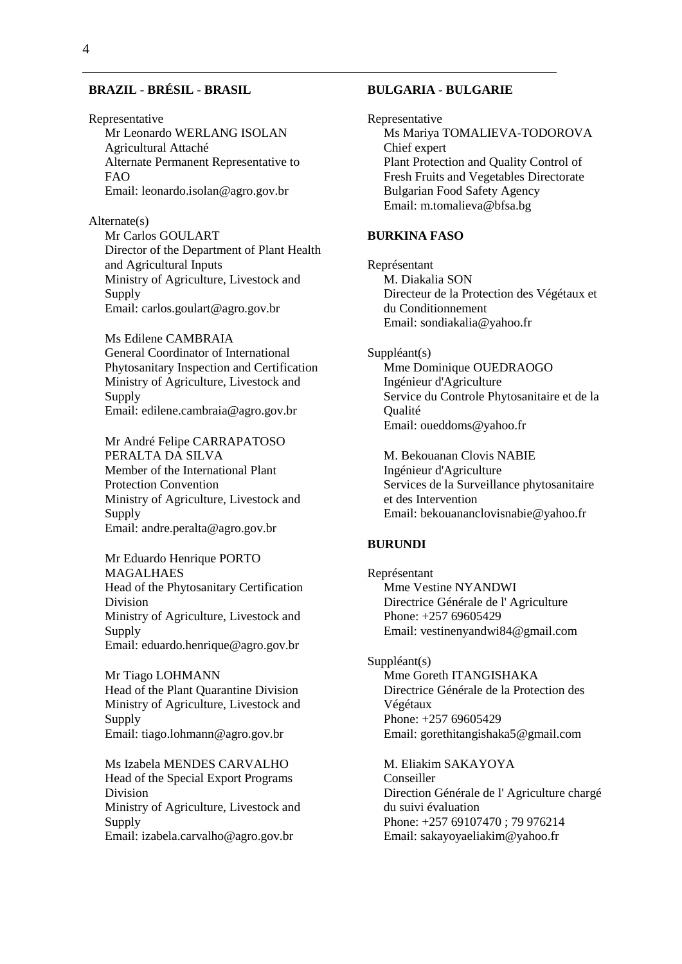## **BRAZIL - BRÉSIL - BRASIL**

Representative Mr Leonardo WERLANG ISOLAN Agricultural Attaché Alternate Permanent Representative to FAO Email: leonardo.isolan@agro.gov.br

Alternate(s) Mr Carlos GOULART Director of the Department of Plant Health and Agricultural Inputs Ministry of Agriculture, Livestock and Supply Email: carlos.goulart@agro.gov.br

Ms Edilene CAMBRAIA General Coordinator of International Phytosanitary Inspection and Certification Ministry of Agriculture, Livestock and Supply Email: edilene.cambraia@agro.gov.br

Mr André Felipe CARRAPATOSO PERALTA DA SILVA Member of the International Plant Protection Convention Ministry of Agriculture, Livestock and **Supply** Email: andre.peralta@agro.gov.br

Mr Eduardo Henrique PORTO MAGALHAES Head of the Phytosanitary Certification Division Ministry of Agriculture, Livestock and Supply Email: eduardo.henrique@agro.gov.br

Mr Tiago LOHMANN Head of the Plant Quarantine Division Ministry of Agriculture, Livestock and Supply Email: tiago.lohmann@agro.gov.br

Ms Izabela MENDES CARVALHO Head of the Special Export Programs Division Ministry of Agriculture, Livestock and Supply Email: izabela.carvalho@agro.gov.br

#### **BULGARIA - BULGARIE**

Representative Ms Mariya TOMALIEVA-TODOROVA Chief expert Plant Protection and Quality Control of Fresh Fruits and Vegetables Directorate Bulgarian Food Safety Agency Email: m.tomalieva@bfsa.bg

## **BURKINA FASO**

Représentant M. Diakalia SON Directeur de la Protection des Végétaux et du Conditionnement Email: sondiakalia@yahoo.fr

#### Suppléant(s)

Mme Dominique OUEDRAOGO Ingénieur d'Agriculture Service du Controle Phytosanitaire et de la Qualité Email: oueddoms@yahoo.fr

M. Bekouanan Clovis NABIE Ingénieur d'Agriculture Services de la Surveillance phytosanitaire et des Intervention Email: bekouananclovisnabie@yahoo.fr

#### **BURUNDI**

Représentant Mme Vestine NYANDWI Directrice Générale de l' Agriculture Phone: +257 69605429 Email: vestinenyandwi84@gmail.com

Suppléant(s) Mme Goreth ITANGISHAKA Directrice Générale de la Protection des Végétaux Phone: +257 69605429 Email: gorethitangishaka5@gmail.com

M. Eliakim SAKAYOYA Conseiller Direction Générale de l' Agriculture chargé du suivi évaluation Phone: +257 69107470 ; 79 976214 Email: sakayoyaeliakim@yahoo.fr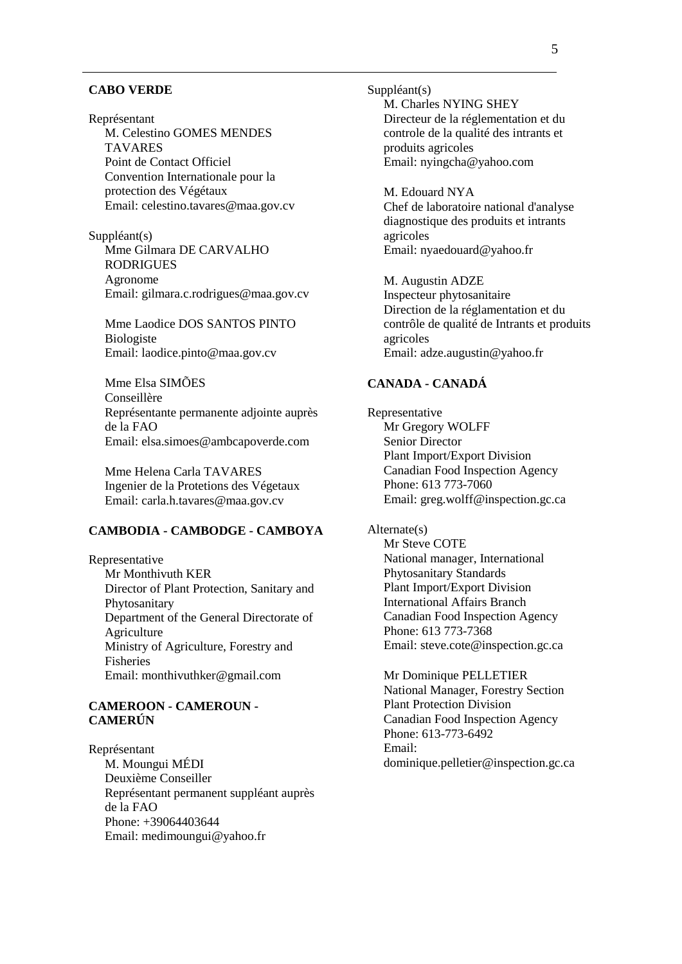#### **CABO VERDE**

Représentant M. Celestino GOMES MENDES TAVARES Point de Contact Officiel Convention Internationale pour la protection des Végétaux Email: celestino.tavares@maa.gov.cv

Suppléant(s) Mme Gilmara DE CARVALHO RODRIGUES Agronome Email: gilmara.c.rodrigues@maa.gov.cv

Mme Laodice DOS SANTOS PINTO Biologiste Email: laodice.pinto@maa.gov.cv

Mme Elsa SIMÕES Conseillère Représentante permanente adjointe auprès de la FAO Email: elsa.simoes@ambcapoverde.com

Mme Helena Carla TAVARES Ingenier de la Protetions des Végetaux Email: carla.h.tavares@maa.gov.cv

### **CAMBODIA - CAMBODGE - CAMBOYA**

Representative Mr Monthivuth KER Director of Plant Protection, Sanitary and Phytosanitary Department of the General Directorate of **Agriculture** Ministry of Agriculture, Forestry and Fisheries Email: monthivuthker@gmail.com

#### **CAMEROON - CAMEROUN - CAMERÚN**

Représentant M. Moungui MÉDI Deuxième Conseiller Représentant permanent suppléant auprès de la FAO Phone: +39064403644 Email: medimoungui@yahoo.fr

Suppléant(s) M. Charles NYING SHEY Directeur de la réglementation et du controle de la qualité des intrants et produits agricoles Email: nyingcha@yahoo.com

M. Edouard NYA Chef de laboratoire national d'analyse diagnostique des produits et intrants agricoles Email: nyaedouard@yahoo.fr

M. Augustin ADZE Inspecteur phytosanitaire Direction de la réglamentation et du contrôle de qualité de Intrants et produits agricoles Email: adze.augustin@yahoo.fr

## **CANADA - CANADÁ**

Representative Mr Gregory WOLFF Senior Director Plant Import/Export Division Canadian Food Inspection Agency Phone: 613 773-7060 Email: greg.wolff@inspection.gc.ca

Alternate(s) Mr Steve COTE National manager, International Phytosanitary Standards Plant Import/Export Division International Affairs Branch Canadian Food Inspection Agency Phone: 613 773-7368 Email: steve.cote@inspection.gc.ca

Mr Dominique PELLETIER National Manager, Forestry Section Plant Protection Division Canadian Food Inspection Agency Phone: 613-773-6492 Email: dominique.pelletier@inspection.gc.ca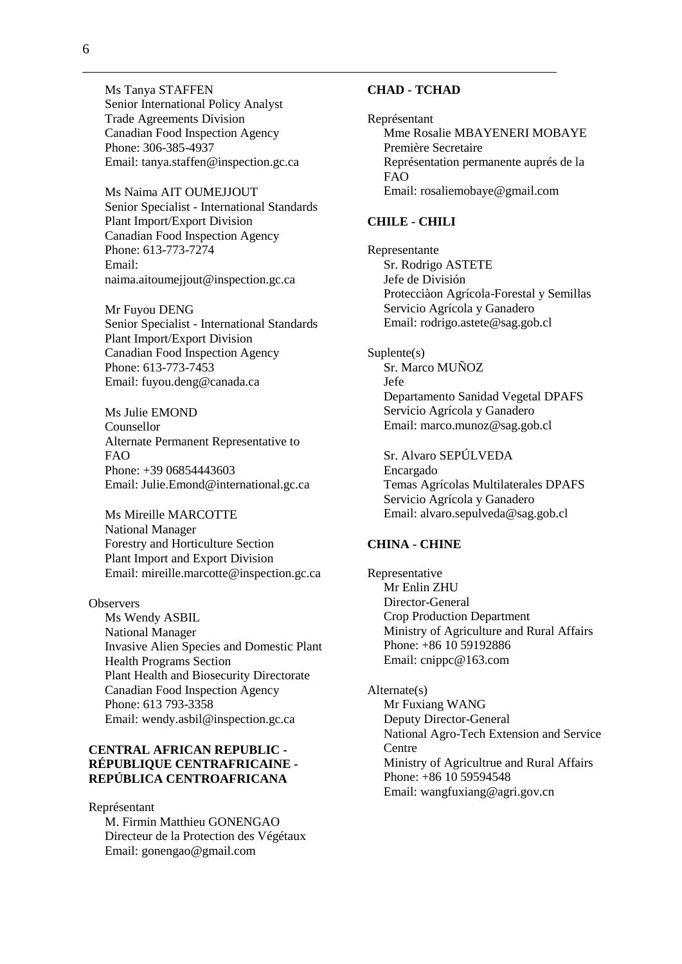Ms Tanya STAFFEN Senior International Policy Analyst Trade Agreements Division Canadian Food Inspection Agency Phone: 306-385-4937 Email: tanya.staffen@inspection.gc.ca

Ms Naima AIT OUMEJJOUT Senior Specialist - International Standards Plant Import/Export Division Canadian Food Inspection Agency Phone: 613-773-7274 Email: naima.aitoumejjout@inspection.gc.ca

Mr Fuyou DENG Senior Specialist - International Standards Plant Import/Export Division Canadian Food Inspection Agency Phone: 613-773-7453 Email: fuyou.deng@canada.ca

Ms Julie EMOND Counsellor Alternate Permanent Representative to FAO Phone: +39 06854443603 Email: Julie.Emond@international.gc.ca

Ms Mireille MARCOTTE National Manager Forestry and Horticulture Section Plant Import and Export Division Email: mireille.marcotte@inspection.gc.ca

#### **Observers**

Ms Wendy ASBIL National Manager Invasive Alien Species and Domestic Plant Health Programs Section Plant Health and Biosecurity Directorate Canadian Food Inspection Agency Phone: 613 793-3358 Email: wendy.asbil@inspection.gc.ca

### **CENTRAL AFRICAN REPUBLIC - RÉPUBLIQUE CENTRAFRICAINE - REPÚBLICA CENTROAFRICANA**

Représentant

M. Firmin Matthieu GONENGAO Directeur de la Protection des Végétaux Email: gonengao@gmail.com

#### **CHAD - TCHAD**

Représentant Mme Rosalie MBAYENERI MOBAYE Première Secretaire Représentation permanente auprés de la FAO Email: rosaliemobaye@gmail.com

### **CHILE - CHILI**

Representante Sr. Rodrigo ASTETE Jefe de División Protecciàon Agrícola-Forestal y Semillas Servicio Agrícola y Ganadero Email: rodrigo.astete@sag.gob.cl

Suplente(s) Sr. Marco MUÑOZ Jefe Departamento Sanidad Vegetal DPAFS Servicio Agrícola y Ganadero Email: marco.munoz@sag.gob.cl

Sr. Alvaro SEPÚLVEDA Encargado Temas Agrícolas Multilaterales DPAFS Servicio Agrícola y Ganadero Email: alvaro.sepulveda@sag.gob.cl

#### **CHINA - CHINE**

Representative Mr Enlin ZHU Director-General Crop Production Department Ministry of Agriculture and Rural Affairs Phone: +86 10 59192886 Email: cnippc@163.com

Alternate(s) Mr Fuxiang WANG Deputy Director-General National Agro-Tech Extension and Service Centre Ministry of Agricultrue and Rural Affairs Phone: +86 10 59594548 Email: wangfuxiang@agri.gov.cn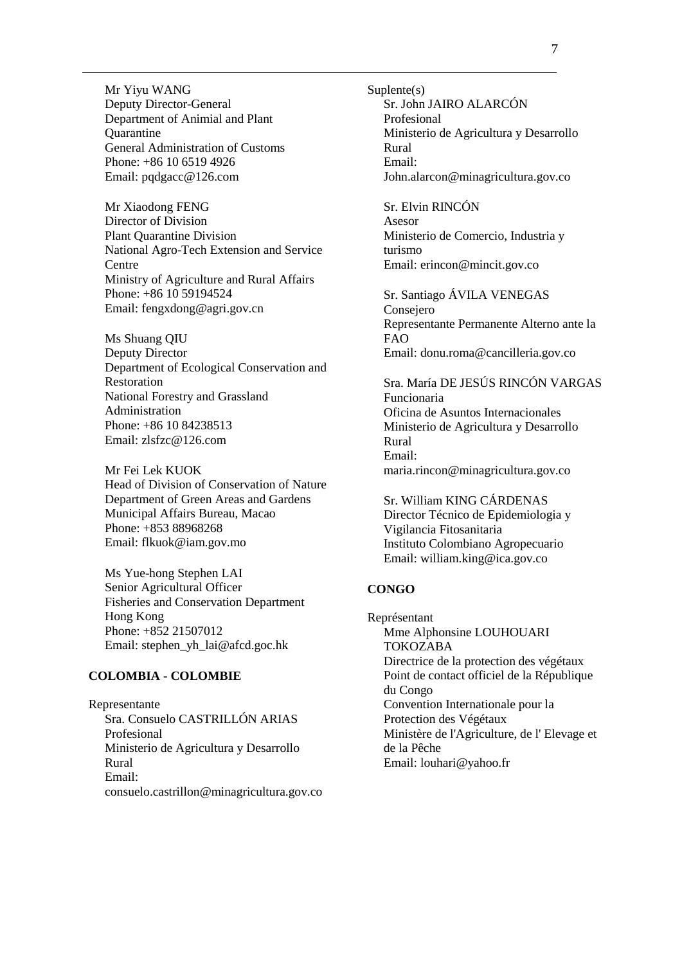Mr Yiyu WANG Deputy Director-General Department of Animial and Plant **Ouarantine** General Administration of Customs Phone: +86 10 6519 4926 Email: pqdgacc@126.com

Mr Xiaodong FENG Director of Division Plant Quarantine Division National Agro-Tech Extension and Service **Centre** Ministry of Agriculture and Rural Affairs Phone: +86 10 59194524 Email: fengxdong@agri.gov.cn

Ms Shuang QIU Deputy Director Department of Ecological Conservation and Restoration National Forestry and Grassland Administration Phone: +86 10 84238513 Email: zlsfzc@126.com

Mr Fei Lek KUOK Head of Division of Conservation of Nature Department of Green Areas and Gardens Municipal Affairs Bureau, Macao Phone: +853 88968268 Email: flkuok@iam.gov.mo

Ms Yue-hong Stephen LAI Senior Agricultural Officer Fisheries and Conservation Department Hong Kong Phone: +852 21507012 Email: stephen\_yh\_lai@afcd.goc.hk

### **COLOMBIA - COLOMBIE**

Representante Sra. Consuelo CASTRILLÓN ARIAS Profesional Ministerio de Agricultura y Desarrollo Rural Email: consuelo.castrillon@minagricultura.gov.co Suplente(s) Sr. John JAIRO ALARCÓN Profesional Ministerio de Agricultura y Desarrollo Rural Email: John.alarcon@minagricultura.gov.co

Sr. Elvin RINCÓN Asesor Ministerio de Comercio, Industria y turismo Email: erincon@mincit.gov.co

Sr. Santiago ÁVILA VENEGAS Consejero Representante Permanente Alterno ante la FAO Email: donu.roma@cancilleria.gov.co

Sra. María DE JESÚS RINCÓN VARGAS Funcionaria Oficina de Asuntos Internacionales Ministerio de Agricultura y Desarrollo Rural Email: maria.rincon@minagricultura.gov.co

Sr. William KING CÁRDENAS Director Técnico de Epidemiologia y Vigilancia Fitosanitaria Instituto Colombiano Agropecuario Email: william.king@ica.gov.co

## **CONGO**

Représentant Mme Alphonsine LOUHOUARI TOKOZABA Directrice de la protection des végétaux Point de contact officiel de la République du Congo Convention Internationale pour la Protection des Végétaux Ministère de l'Agriculture, de l' Elevage et de la Pêche Email: louhari@yahoo.fr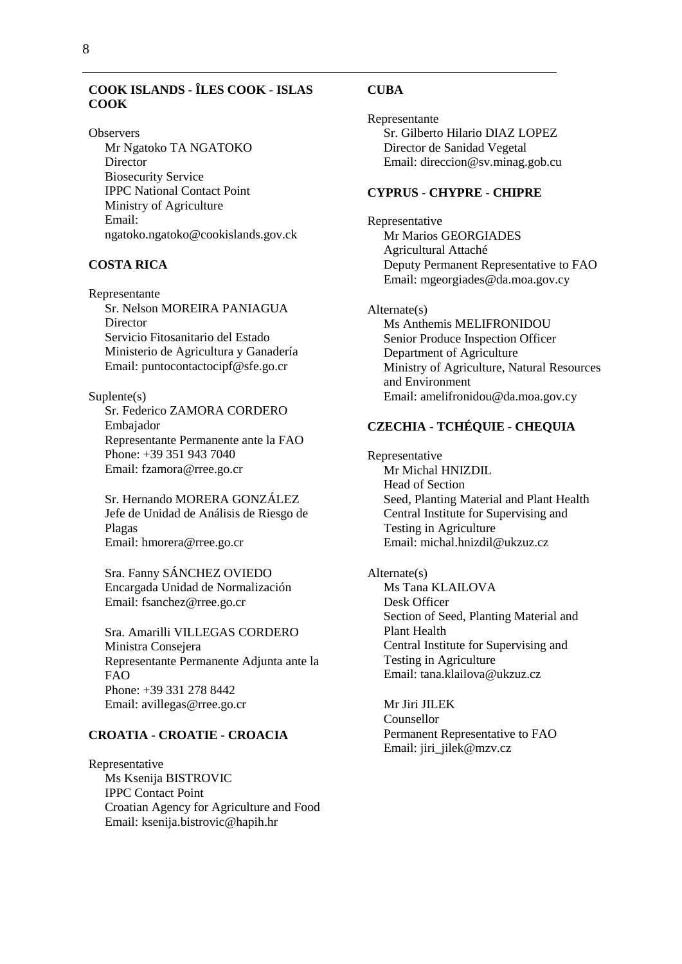## **COOK ISLANDS - ÎLES COOK - ISLAS COOK**

**Observers** Mr Ngatoko TA NGATOKO Director Biosecurity Service IPPC National Contact Point Ministry of Agriculture Email: ngatoko.ngatoko@cookislands.gov.ck

### **COSTA RICA**

Representante Sr. Nelson MOREIRA PANIAGUA Director Servicio Fitosanitario del Estado Ministerio de Agricultura y Ganadería Email: puntocontactocipf@sfe.go.cr

Suplente(s) Sr. Federico ZAMORA CORDERO Embajador Representante Permanente ante la FAO Phone: +39 351 943 7040 Email: fzamora@rree.go.cr

Sr. Hernando MORERA GONZÁLEZ Jefe de Unidad de Análisis de Riesgo de Plagas Email: hmorera@rree.go.cr

Sra. Fanny SÁNCHEZ OVIEDO Encargada Unidad de Normalización Email: fsanchez@rree.go.cr

Sra. Amarilli VILLEGAS CORDERO Ministra Consejera Representante Permanente Adjunta ante la FAO Phone: +39 331 278 8442 Email: avillegas@rree.go.cr

## **CROATIA - CROATIE - CROACIA**

Representative Ms Ksenija BISTROVIC IPPC Contact Point Croatian Agency for Agriculture and Food Email: ksenija.bistrovic@hapih.hr

#### **CUBA**

Representante Sr. Gilberto Hilario DIAZ LOPEZ Director de Sanidad Vegetal Email: direccion@sv.minag.gob.cu

#### **CYPRUS - CHYPRE - CHIPRE**

Representative Mr Marios GEORGIADES Agricultural Attaché Deputy Permanent Representative to FAO Email: mgeorgiades@da.moa.gov.cy

Alternate(s) Ms Anthemis MELIFRONIDOU Senior Produce Inspection Officer Department of Agriculture Ministry of Agriculture, Natural Resources and Environment Email: amelifronidou@da.moa.gov.cy

## **CZECHIA - TCHÉQUIE - CHEQUIA**

Representative Mr Michal HNIZDIL Head of Section Seed, Planting Material and Plant Health Central Institute for Supervising and Testing in Agriculture Email: michal.hnizdil@ukzuz.cz

Alternate(s)

Ms Tana KLAILOVA Desk Officer Section of Seed, Planting Material and Plant Health Central Institute for Supervising and Testing in Agriculture Email: tana.klailova@ukzuz.cz

Mr Jiri JILEK Counsellor Permanent Representative to FAO Email: jiri\_jilek@mzv.cz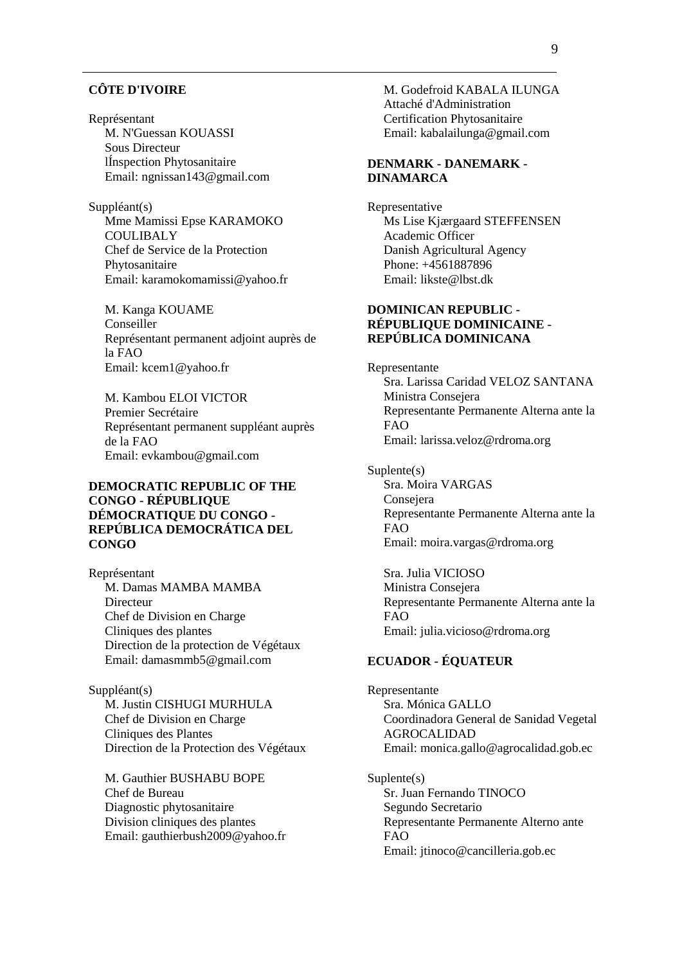#### **CÔTE D'IVOIRE**

Représentant M. N'Guessan KOUASSI Sous Directeur lÍnspection Phytosanitaire Email: ngnissan143@gmail.com

Suppléant(s) Mme Mamissi Epse KARAMOKO **COULIBALY** Chef de Service de la Protection Phytosanitaire Email: karamokomamissi@yahoo.fr

M. Kanga KOUAME Conseiller Représentant permanent adjoint auprès de la FAO Email: kcem1@yahoo.fr

M. Kambou ELOI VICTOR Premier Secrétaire Représentant permanent suppléant auprès de la FAO Email: evkambou@gmail.com

### **DEMOCRATIC REPUBLIC OF THE CONGO - RÉPUBLIQUE DÉMOCRATIQUE DU CONGO - REPÚBLICA DEMOCRÁTICA DEL CONGO**

Représentant M. Damas MAMBA MAMBA Directeur Chef de Division en Charge Cliniques des plantes Direction de la protection de Végétaux Email: damasmmb5@gmail.com

Suppléant(s) M. Justin CISHUGI MURHULA Chef de Division en Charge Cliniques des Plantes Direction de la Protection des Végétaux

M. Gauthier BUSHABU BOPE Chef de Bureau Diagnostic phytosanitaire Division cliniques des plantes Email: gauthierbush2009@yahoo.fr M. Godefroid KABALA ILUNGA Attaché d'Administration Certification Phytosanitaire Email: kabalailunga@gmail.com

#### **DENMARK - DANEMARK - DINAMARCA**

Representative Ms Lise Kjærgaard STEFFENSEN Academic Officer Danish Agricultural Agency Phone: +4561887896 Email: likste@lbst.dk

### **DOMINICAN REPUBLIC - RÉPUBLIQUE DOMINICAINE - REPÚBLICA DOMINICANA**

Representante Sra. Larissa Caridad VELOZ SANTANA Ministra Consejera Representante Permanente Alterna ante la FAO Email: larissa.veloz@rdroma.org

Suplente(s) Sra. Moira VARGAS Consejera Representante Permanente Alterna ante la FAO Email: moira.vargas@rdroma.org

Sra. Julia VICIOSO Ministra Consejera Representante Permanente Alterna ante la FAO Email: julia.vicioso@rdroma.org

## **ECUADOR - ÉQUATEUR**

Representante Sra. Mónica GALLO Coordinadora General de Sanidad Vegetal AGROCALIDAD Email: monica.gallo@agrocalidad.gob.ec

Suplente(s) Sr. Juan Fernando TINOCO Segundo Secretario Representante Permanente Alterno ante FAO Email: jtinoco@cancilleria.gob.ec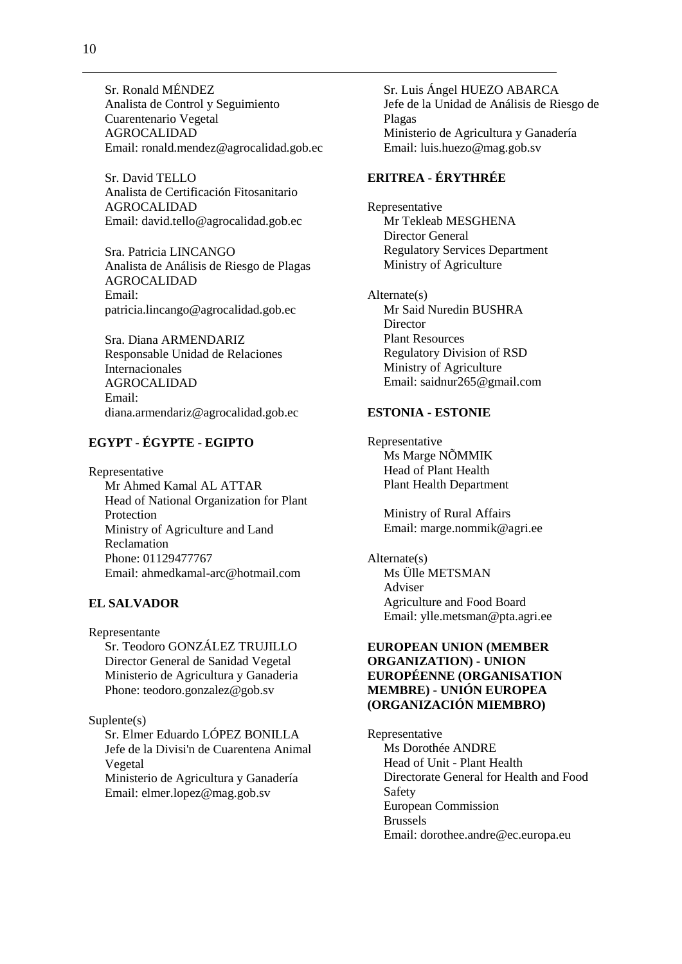Sr. Ronald MÉNDEZ Analista de Control y Seguimiento Cuarentenario Vegetal AGROCALIDAD Email: ronald.mendez@agrocalidad.gob.ec

Sr. David TELLO Analista de Certificación Fitosanitario AGROCALIDAD Email: david.tello@agrocalidad.gob.ec

Sra. Patricia LINCANGO Analista de Análisis de Riesgo de Plagas AGROCALIDAD Email: patricia.lincango@agrocalidad.gob.ec

Sra. Diana ARMENDARIZ Responsable Unidad de Relaciones Internacionales AGROCALIDAD Email: diana.armendariz@agrocalidad.gob.ec

## **EGYPT - ÉGYPTE - EGIPTO**

Representative Mr Ahmed Kamal AL ATTAR Head of National Organization for Plant Protection Ministry of Agriculture and Land Reclamation Phone: 01129477767 Email: ahmedkamal-arc@hotmail.com

#### **EL SALVADOR**

Representante Sr. Teodoro GONZÁLEZ TRUJILLO Director General de Sanidad Vegetal Ministerio de Agricultura y Ganaderia Phone: teodoro.gonzalez@gob.sv

## Suplente(s)

Sr. Elmer Eduardo LÓPEZ BONILLA Jefe de la Divisi'n de Cuarentena Animal Vegetal Ministerio de Agricultura y Ganadería

Email: elmer.lopez@mag.gob.sv

Sr. Luis Ángel HUEZO ABARCA Jefe de la Unidad de Análisis de Riesgo de Plagas Ministerio de Agricultura y Ganadería Email: luis.huezo@mag.gob.sv

## **ERITREA - ÉRYTHRÉE**

Representative Mr Tekleab MESGHENA Director General Regulatory Services Department Ministry of Agriculture

Alternate(s) Mr Said Nuredin BUSHRA **Director** Plant Resources Regulatory Division of RSD Ministry of Agriculture Email: saidnur265@gmail.com

#### **ESTONIA - ESTONIE**

Representative Ms Marge NÕMMIK Head of Plant Health Plant Health Department

> Ministry of Rural Affairs Email: marge.nommik@agri.ee

Alternate(s) Ms Ülle METSMAN Adviser Agriculture and Food Board Email: ylle.metsman@pta.agri.ee

### **EUROPEAN UNION (MEMBER ORGANIZATION) - UNION EUROPÉENNE (ORGANISATION MEMBRE) - UNIÓN EUROPEA (ORGANIZACIÓN MIEMBRO)**

Representative Ms Dorothée ANDRE Head of Unit - Plant Health Directorate General for Health and Food Safety European Commission Brussels Email: dorothee.andre@ec.europa.eu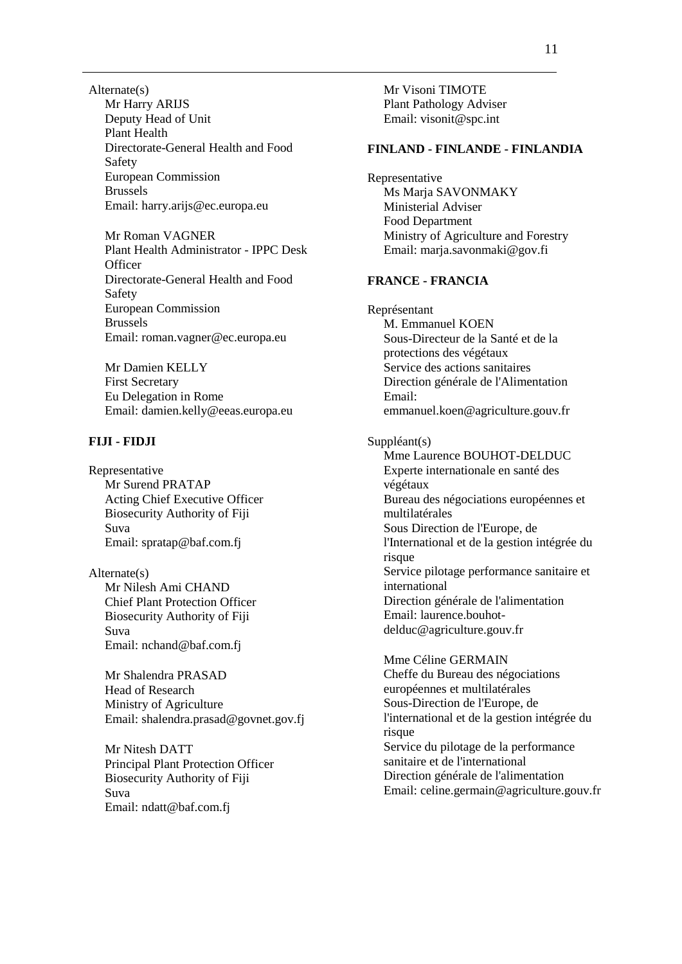Alternate(s) Mr Harry ARIJS Deputy Head of Unit Plant Health Directorate-General Health and Food Safety European Commission Brussels Email: harry.arijs@ec.europa.eu

Mr Roman VAGNER Plant Health Administrator - IPPC Desk **Officer** Directorate-General Health and Food Safety European Commission Brussels Email: roman.vagner@ec.europa.eu

Mr Damien KELLY First Secretary Eu Delegation in Rome Email: damien.kelly@eeas.europa.eu

#### **FIJI - FIDJI**

Representative Mr Surend PRATAP Acting Chief Executive Officer Biosecurity Authority of Fiji Suva Email: spratap@baf.com.fj

Alternate(s) Mr Nilesh Ami CHAND Chief Plant Protection Officer Biosecurity Authority of Fiji Suva Email: nchand@baf.com.fj

Mr Shalendra PRASAD Head of Research Ministry of Agriculture Email: shalendra.prasad@govnet.gov.fj

Mr Nitesh DATT Principal Plant Protection Officer Biosecurity Authority of Fiji Suva Email: ndatt@baf.com.fj

Mr Visoni TIMOTE Plant Pathology Adviser Email: visonit@spc.int

#### **FINLAND - FINLANDE - FINLANDIA**

Representative Ms Marja SAVONMAKY Ministerial Adviser Food Department Ministry of Agriculture and Forestry Email: marja.savonmaki@gov.fi **FRANCE - FRANCIA** Représentant M. Emmanuel KOEN Sous-Directeur de la Santé et de la protections des végétaux Service des actions sanitaires Direction générale de l'Alimentation Email:

emmanuel.koen@agriculture.gouv.fr

Suppléant(s)

Mme Laurence BOUHOT-DELDUC Experte internationale en santé des végétaux Bureau des négociations européennes et multilatérales Sous Direction de l'Europe, de l'International et de la gestion intégrée du risque Service pilotage performance sanitaire et international Direction générale de l'alimentation Email: laurence.bouhotdelduc@agriculture.gouv.fr

Mme Céline GERMAIN Cheffe du Bureau des négociations européennes et multilatérales Sous-Direction de l'Europe, de l'international et de la gestion intégrée du risque Service du pilotage de la performance sanitaire et de l'international Direction générale de l'alimentation Email: celine.germain@agriculture.gouv.fr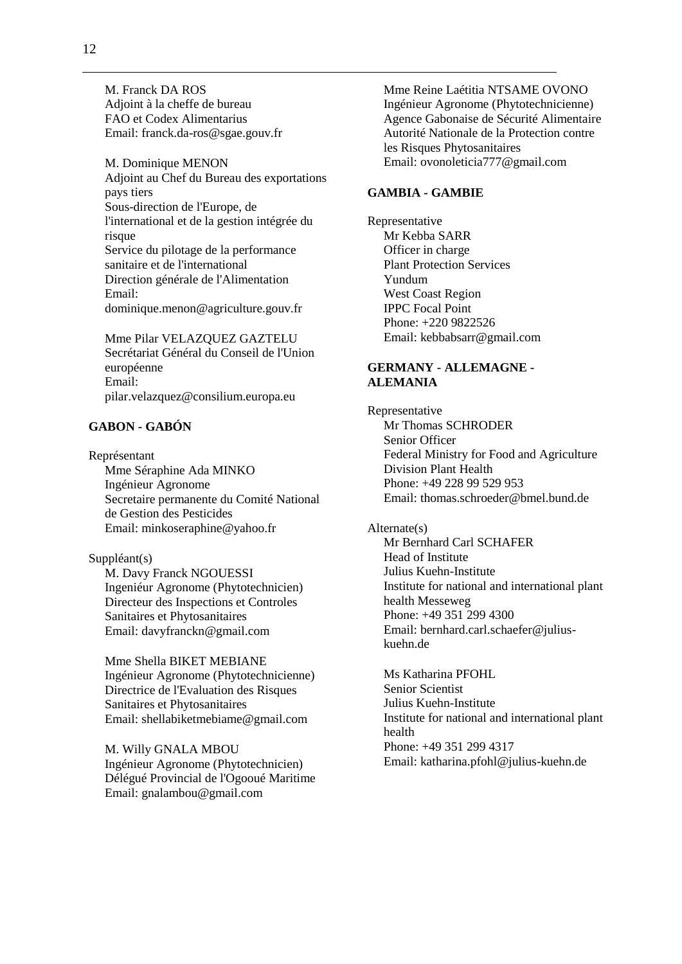M. Franck DA ROS Adjoint à la cheffe de bureau FAO et Codex Alimentarius Email: franck.da-ros@sgae.gouv.fr

M. Dominique MENON Adjoint au Chef du Bureau des exportations pays tiers Sous-direction de l'Europe, de l'international et de la gestion intégrée du risque Service du pilotage de la performance sanitaire et de l'international Direction générale de l'Alimentation Email: dominique.menon@agriculture.gouv.fr

Mme Pilar VELAZQUEZ GAZTELU Secrétariat Général du Conseil de l'Union européenne Email: pilar.velazquez@consilium.europa.eu

## **GABON - GABÓN**

Représentant Mme Séraphine Ada MINKO Ingénieur Agronome Secretaire permanente du Comité National de Gestion des Pesticides Email: minkoseraphine@yahoo.fr

Suppléant(s) M. Davy Franck NGOUESSI Ingeniéur Agronome (Phytotechnicien) Directeur des Inspections et Controles Sanitaires et Phytosanitaires Email: davyfranckn@gmail.com

Mme Shella BIKET MEBIANE Ingénieur Agronome (Phytotechnicienne) Directrice de l'Evaluation des Risques Sanitaires et Phytosanitaires Email: shellabiketmebiame@gmail.com

M. Willy GNALA MBOU Ingénieur Agronome (Phytotechnicien) Délégué Provincial de l'Ogooué Maritime Email: gnalambou@gmail.com

Mme Reine Laétitia NTSAME OVONO Ingénieur Agronome (Phytotechnicienne) Agence Gabonaise de Sécurité Alimentaire Autorité Nationale de la Protection contre les Risques Phytosanitaires Email: ovonoleticia777@gmail.com

#### **GAMBIA - GAMBIE**

Representative Mr Kebba SARR Officer in charge Plant Protection Services Yundum West Coast Region IPPC Focal Point Phone: +220 9822526 Email: kebbabsarr@gmail.com

### **GERMANY - ALLEMAGNE - ALEMANIA**

Representative Mr Thomas SCHRODER Senior Officer Federal Ministry for Food and Agriculture Division Plant Health Phone: +49 228 99 529 953 Email: thomas.schroeder@bmel.bund.de

#### Alternate(s)

Mr Bernhard Carl SCHAFER Head of Institute Julius Kuehn-Institute Institute for national and international plant health Messeweg Phone: +49 351 299 4300 Email: bernhard.carl.schaefer@juliuskuehn.de

Ms Katharina PFOHL Senior Scientist Julius Kuehn-Institute Institute for national and international plant health Phone: +49 351 299 4317 Email: katharina.pfohl@julius-kuehn.de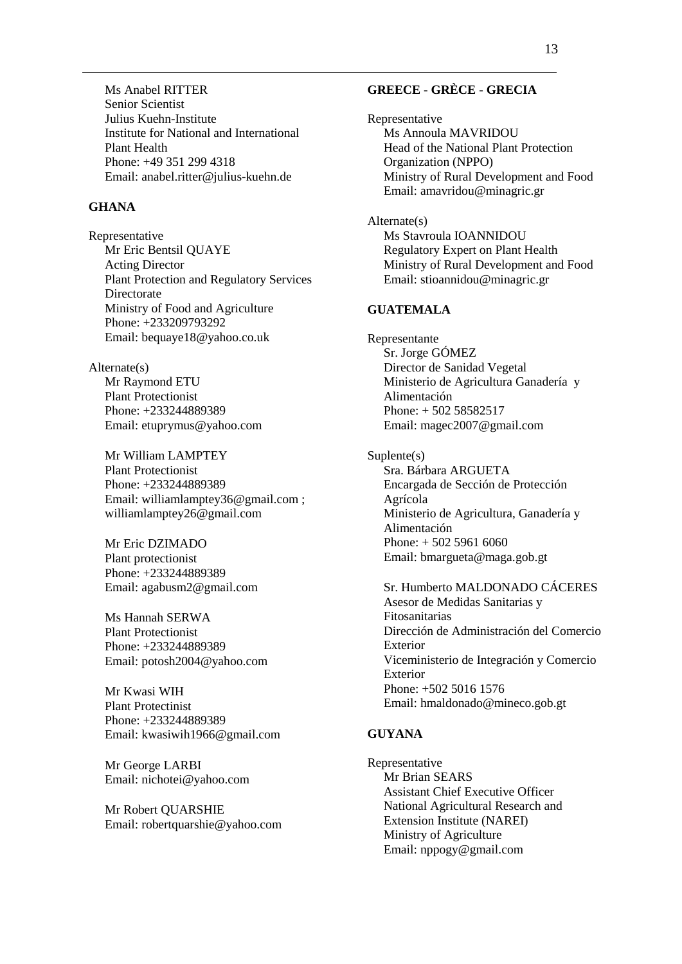Ms Anabel RITTER Senior Scientist Julius Kuehn-Institute Institute for National and International Plant Health Phone: +49 351 299 4318 Email: anabel.ritter@julius-kuehn.de

#### **GHANA**

Representative Mr Eric Bentsil QUAYE Acting Director Plant Protection and Regulatory Services Directorate Ministry of Food and Agriculture Phone: +233209793292 Email: bequaye18@yahoo.co.uk

#### Alternate(s)

Mr Raymond ETU Plant Protectionist Phone: +233244889389 Email: etuprymus@yahoo.com

Mr William LAMPTEY Plant Protectionist Phone: +233244889389 Email: williamlamptey36@gmail.com ; williamlamptey26@gmail.com

Mr Eric DZIMADO Plant protectionist Phone: +233244889389 Email: agabusm2@gmail.com

Ms Hannah SERWA Plant Protectionist Phone: +233244889389 Email: potosh2004@yahoo.com

Mr Kwasi WIH Plant Protectinist Phone: +233244889389 Email: kwasiwih1966@gmail.com

Mr George LARBI Email: nichotei@yahoo.com

Mr Robert QUARSHIE Email: robertquarshie@yahoo.com

### **GREECE - GRÈCE - GRECIA**

Representative Ms Annoula MAVRIDOU Head of the National Plant Protection Organization (NPPO) Ministry of Rural Development and Food Email: amavridou@minagric.gr

Alternate(s) Ms Stavroula IOANNIDOU Regulatory Expert on Plant Health Ministry of Rural Development and Food Email: stioannidou@minagric.gr

### **GUATEMALA**

Representante Sr. Jorge GÓMEZ Director de Sanidad Vegetal Ministerio de Agricultura Ganadería y Alimentación Phone: + 502 58582517 Email: magec2007@gmail.com

Suplente(s) Sra. Bárbara ARGUETA Encargada de Sección de Protección Agrícola Ministerio de Agricultura, Ganadería y Alimentación Phone: + 502 5961 6060 Email: bmargueta@maga.gob.gt

Sr. Humberto MALDONADO CÁCERES Asesor de Medidas Sanitarias y Fitosanitarias Dirección de Administración del Comercio Exterior Viceministerio de Integración y Comercio Exterior Phone: +502 5016 1576 Email: hmaldonado@mineco.gob.gt

#### **GUYANA**

Representative Mr Brian SEARS Assistant Chief Executive Officer National Agricultural Research and Extension Institute (NAREI) Ministry of Agriculture Email: nppogy@gmail.com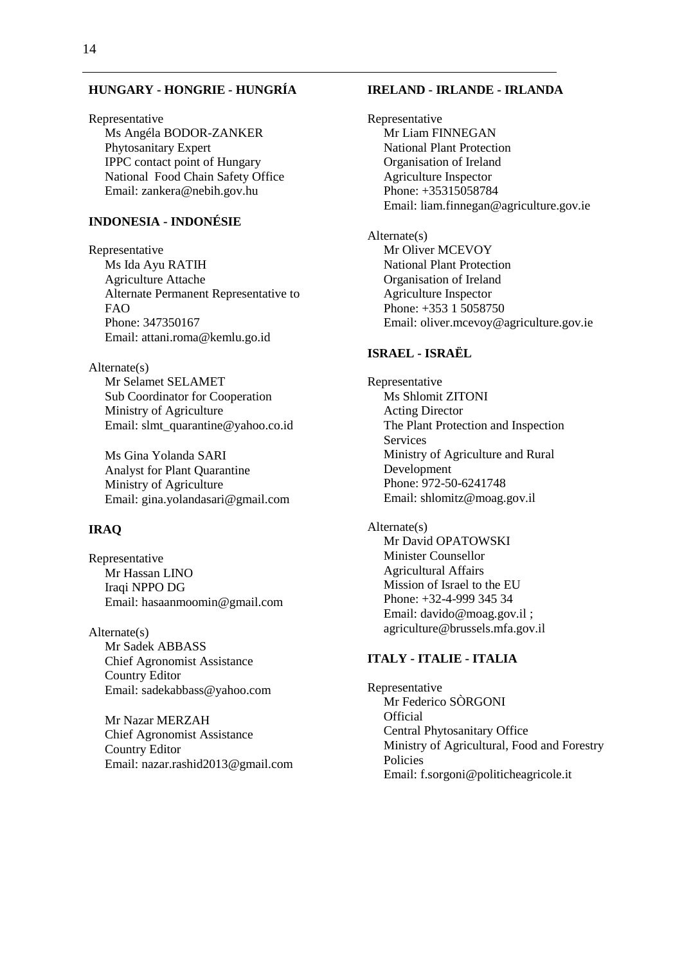## **HUNGARY - HONGRIE - HUNGRÍA**

Representative Ms Angéla BODOR-ZANKER Phytosanitary Expert IPPC contact point of Hungary National Food Chain Safety Office Email: zankera@nebih.gov.hu

### **INDONESIA - INDONÉSIE**

Representative Ms Ida Ayu RATIH Agriculture Attache Alternate Permanent Representative to FAO Phone: 347350167 Email: attani.roma@kemlu.go.id

Alternate(s)

Mr Selamet SELAMET Sub Coordinator for Cooperation Ministry of Agriculture Email: slmt\_quarantine@yahoo.co.id

Ms Gina Yolanda SARI Analyst for Plant Quarantine Ministry of Agriculture Email: gina.yolandasari@gmail.com

#### **IRAQ**

Representative Mr Hassan LINO Iraqi NPPO DG Email: hasaanmoomin@gmail.com

Alternate(s) Mr Sadek ABBASS Chief Agronomist Assistance Country Editor Email: sadekabbass@yahoo.com

Mr Nazar MERZAH Chief Agronomist Assistance Country Editor Email: nazar.rashid2013@gmail.com

#### **IRELAND - IRLANDE - IRLANDA**

Representative Mr Liam FINNEGAN National Plant Protection Organisation of Ireland Agriculture Inspector Phone: +35315058784 Email: liam.finnegan@agriculture.gov.ie

Alternate(s) Mr Oliver MCEVOY National Plant Protection Organisation of Ireland Agriculture Inspector Phone: +353 1 5058750 Email: oliver.mcevoy@agriculture.gov.ie

#### **ISRAEL - ISRAËL**

Representative Ms Shlomit ZITONI Acting Director The Plant Protection and Inspection **Services** Ministry of Agriculture and Rural Development Phone: 972-50-6241748 Email: shlomitz@moag.gov.il

# Alternate(s)

Mr David OPATOWSKI Minister Counsellor Agricultural Affairs Mission of Israel to the EU Phone: +32-4-999 345 34 Email: davido@moag.gov.il ; agriculture@brussels.mfa.gov.il

### **ITALY - ITALIE - ITALIA**

Representative Mr Federico SÒRGONI **Official** Central Phytosanitary Office Ministry of Agricultural, Food and Forestry Policies Email: f.sorgoni@politicheagricole.it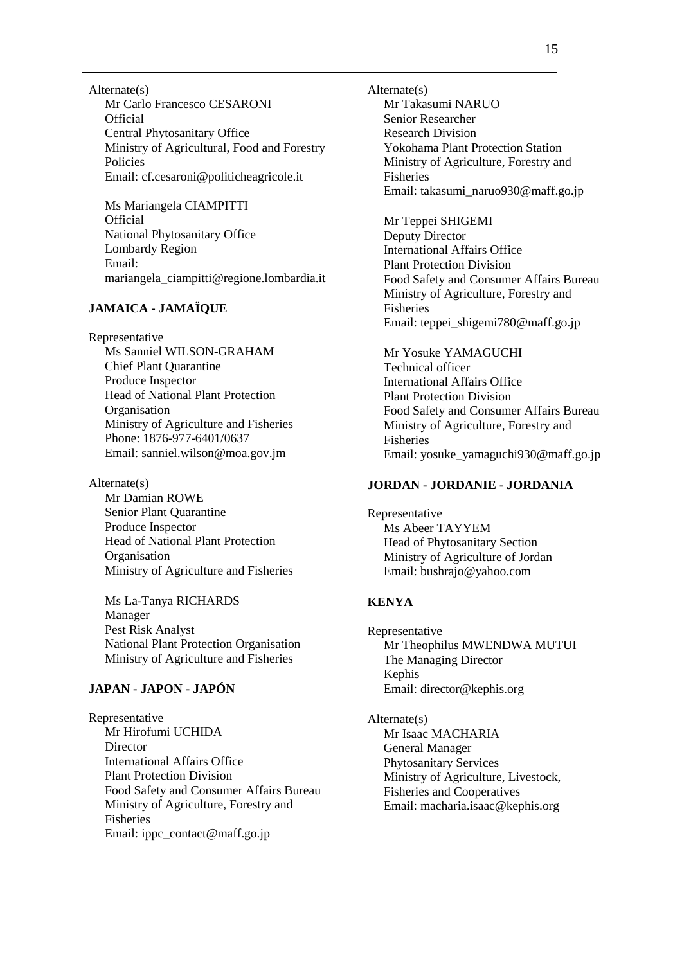Alternate(s) Mr Carlo Francesco CESARONI **Official** Central Phytosanitary Office Ministry of Agricultural, Food and Forestry Policies Email: cf.cesaroni@politicheagricole.it

Ms Mariangela CIAMPITTI **Official** National Phytosanitary Office Lombardy Region Email: mariangela\_ciampitti@regione.lombardia.it

### **JAMAICA - JAMAÏQUE**

Representative

Ms Sanniel WILSON-GRAHAM Chief Plant Quarantine Produce Inspector Head of National Plant Protection **Organisation** Ministry of Agriculture and Fisheries Phone: 1876-977-6401/0637 Email: sanniel.wilson@moa.gov.jm

Alternate(s)

Mr Damian ROWE Senior Plant Quarantine Produce Inspector Head of National Plant Protection **Organisation** Ministry of Agriculture and Fisheries

Ms La-Tanya RICHARDS Manager Pest Risk Analyst National Plant Protection Organisation Ministry of Agriculture and Fisheries

## **JAPAN - JAPON - JAPÓN**

Representative Mr Hirofumi UCHIDA **Director** International Affairs Office Plant Protection Division Food Safety and Consumer Affairs Bureau Ministry of Agriculture, Forestry and Fisheries Email: ippc\_contact@maff.go.jp

Alternate(s) Mr Takasumi NARUO Senior Researcher Research Division Yokohama Plant Protection Station Ministry of Agriculture, Forestry and Fisheries Email: takasumi\_naruo930@maff.go.jp

Mr Teppei SHIGEMI Deputy Director International Affairs Office Plant Protection Division Food Safety and Consumer Affairs Bureau Ministry of Agriculture, Forestry and Fisheries Email: teppei\_shigemi780@maff.go.jp

Mr Yosuke YAMAGUCHI Technical officer International Affairs Office Plant Protection Division Food Safety and Consumer Affairs Bureau Ministry of Agriculture, Forestry and Fisheries Email: yosuke\_yamaguchi930@maff.go.jp

### **JORDAN - JORDANIE - JORDANIA**

Representative Ms Abeer TAYYEM Head of Phytosanitary Section Ministry of Agriculture of Jordan Email: bushrajo@yahoo.com

### **KENYA**

Representative Mr Theophilus MWENDWA MUTUI The Managing Director Kephis Email: director@kephis.org

Alternate(s) Mr Isaac MACHARIA General Manager Phytosanitary Services Ministry of Agriculture, Livestock, Fisheries and Cooperatives Email: macharia.isaac@kephis.org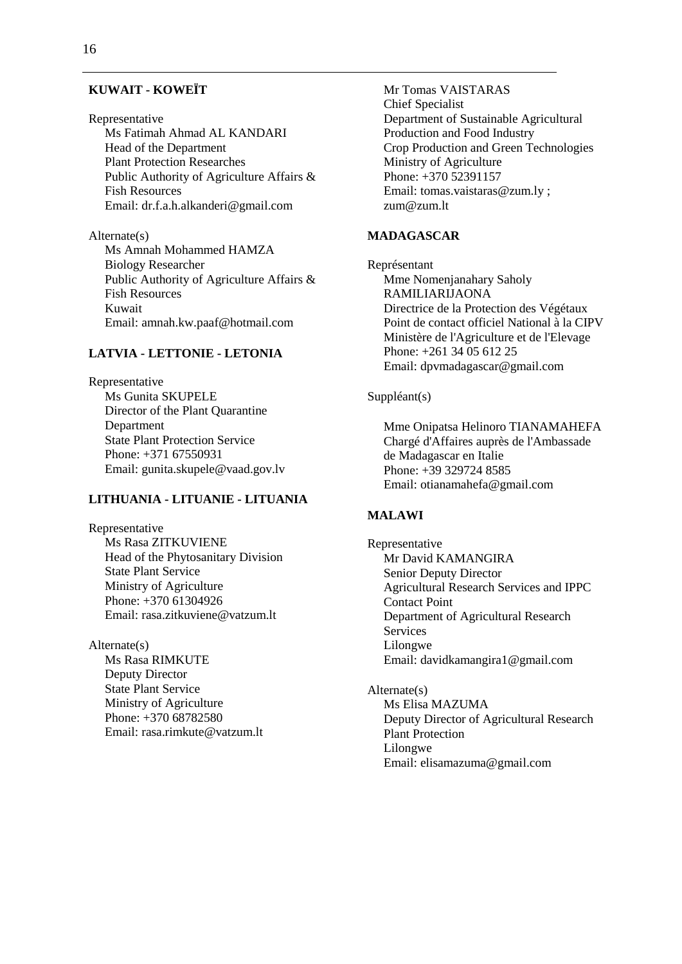#### **KUWAIT - KOWEÏT**

#### Representative

Ms Fatimah Ahmad AL KANDARI Head of the Department Plant Protection Researches Public Authority of Agriculture Affairs & Fish Resources Email: dr.f.a.h.alkanderi@gmail.com

Alternate(s) Ms Amnah Mohammed HAMZA Biology Researcher Public Authority of Agriculture Affairs & Fish Resources Kuwait Email: amnah.kw.paaf@hotmail.com

#### **LATVIA - LETTONIE - LETONIA**

Representative Ms Gunita SKUPELE Director of the Plant Quarantine Department State Plant Protection Service Phone: +371 67550931 Email: gunita.skupele@vaad.gov.lv

## **LITHUANIA - LITUANIE - LITUANIA**

Representative Ms Rasa ZITKUVIENE Head of the Phytosanitary Division State Plant Service Ministry of Agriculture Phone: +370 61304926 Email: rasa.zitkuviene@vatzum.lt

Alternate(s) Ms Rasa RIMKUTE Deputy Director State Plant Service Ministry of Agriculture Phone: +370 68782580 Email: rasa.rimkute@vatzum.lt Mr Tomas VAISTARAS Chief Specialist Department of Sustainable Agricultural Production and Food Industry Crop Production and Green Technologies Ministry of Agriculture Phone: +370 52391157 Email: tomas.vaistaras@zum.ly ; zum@zum.lt

## **MADAGASCAR**

Représentant Mme Nomenjanahary Saholy RAMILIARIJAONA Directrice de la Protection des Végétaux Point de contact officiel National à la CIPV Ministère de l'Agriculture et de l'Elevage Phone: +261 34 05 612 25 Email: dpvmadagascar@gmail.com

## Suppléant(s)

Mme Onipatsa Helinoro TIANAMAHEFA Chargé d'Affaires auprès de l'Ambassade de Madagascar en Italie Phone: +39 329724 8585 Email: otianamahefa@gmail.com

#### **MALAWI**

Representative Mr David KAMANGIRA Senior Deputy Director Agricultural Research Services and IPPC Contact Point Department of Agricultural Research Services Lilongwe Email: davidkamangira1@gmail.com

Alternate(s) Ms Elisa MAZUMA Deputy Director of Agricultural Research Plant Protection Lilongwe Email: elisamazuma@gmail.com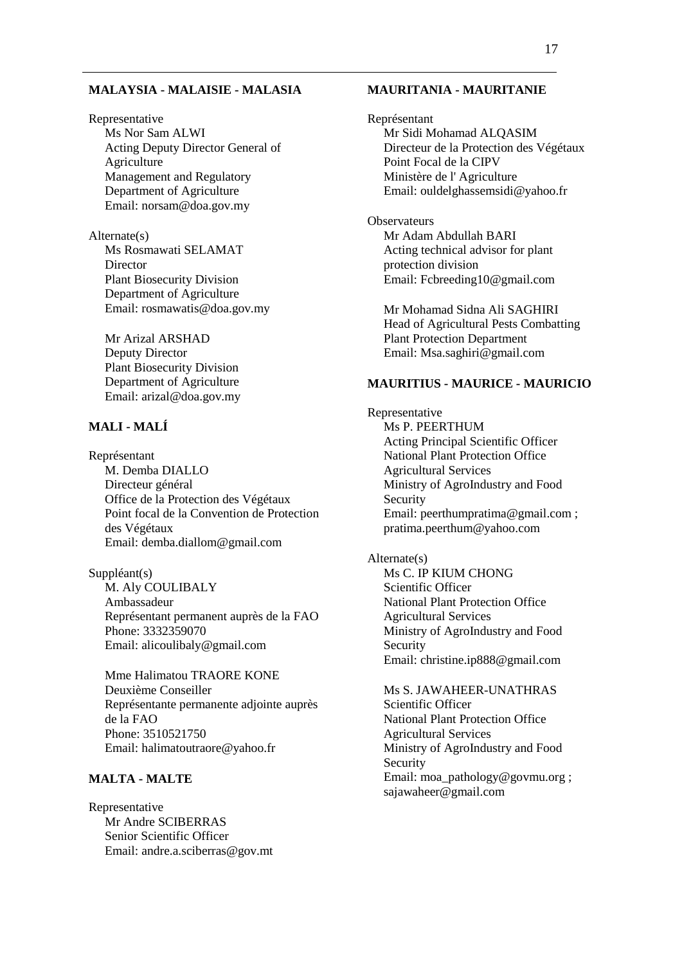#### **MALAYSIA - MALAISIE - MALASIA**

Representative Ms Nor Sam ALWI Acting Deputy Director General of Agriculture Management and Regulatory Department of Agriculture Email: norsam@doa.gov.my

Alternate(s) Ms Rosmawati SELAMAT **Director** Plant Biosecurity Division Department of Agriculture Email: rosmawatis@doa.gov.my

Mr Arizal ARSHAD Deputy Director Plant Biosecurity Division Department of Agriculture Email: arizal@doa.gov.my

## **MALI - MALÍ**

Représentant M. Demba DIALLO Directeur général Office de la Protection des Végétaux Point focal de la Convention de Protection des Végétaux Email: demba.diallom@gmail.com

Suppléant(s) M. Aly COULIBALY Ambassadeur Représentant permanent auprès de la FAO Phone: 3332359070 Email: alicoulibaly@gmail.com

Mme Halimatou TRAORE KONE Deuxième Conseiller Représentante permanente adjointe auprès de la FAO Phone: 3510521750 Email: halimatoutraore@yahoo.fr

### **MALTA - MALTE**

Representative Mr Andre SCIBERRAS Senior Scientific Officer Email: andre.a.sciberras@gov.mt

#### **MAURITANIA - MAURITANIE**

Représentant Mr Sidi Mohamad ALQASIM Directeur de la Protection des Végétaux Point Focal de la CIPV Ministère de l' Agriculture Email: ouldelghassemsidi@yahoo.fr

**Observateurs** Mr Adam Abdullah BARI Acting technical advisor for plant protection division Email: Fcbreeding10@gmail.com

Mr Mohamad Sidna Ali SAGHIRI Head of Agricultural Pests Combatting Plant Protection Department Email: Msa.saghiri@gmail.com

### **MAURITIUS - MAURICE - MAURICIO**

Representative Ms P. PEERTHUM Acting Principal Scientific Officer National Plant Protection Office Agricultural Services Ministry of AgroIndustry and Food Security Email: peerthumpratima@gmail.com : pratima.peerthum@yahoo.com

Alternate(s) Ms C. IP KIUM CHONG Scientific Officer National Plant Protection Office Agricultural Services Ministry of AgroIndustry and Food Security Email: christine.ip888@gmail.com

Ms S. JAWAHEER-UNATHRAS Scientific Officer National Plant Protection Office Agricultural Services Ministry of AgroIndustry and Food Security Email: moa\_pathology@govmu.org ; sajawaheer@gmail.com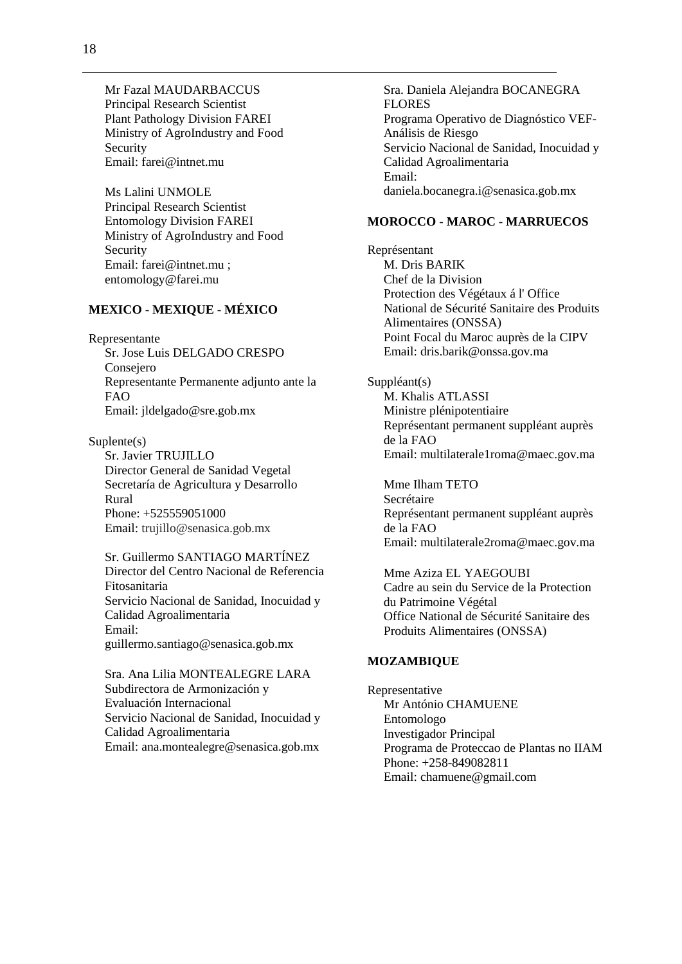Mr Fazal MAUDARBACCUS Principal Research Scientist Plant Pathology Division FAREI Ministry of AgroIndustry and Food Security Email: farei@intnet.mu

Ms Lalini UNMOLE Principal Research Scientist Entomology Division FAREI Ministry of AgroIndustry and Food Security Email: farei@intnet.mu ; entomology@farei.mu

## **MEXICO - MEXIQUE - MÉXICO**

Representante

Sr. Jose Luis DELGADO CRESPO Consejero Representante Permanente adjunto ante la FAO Email: jldelgado@sre.gob.mx

Suplente(s) Sr. Javier TRUJILLO Director General de Sanidad Vegetal Secretaría de Agricultura y Desarrollo Rural Phone: +525559051000 Email: [trujillo@senasica.gob.mx](mailto:trujillo@senasica.gob.mx)

Sr. Guillermo SANTIAGO MARTÍNEZ Director del Centro Nacional de Referencia Fitosanitaria Servicio Nacional de Sanidad, Inocuidad y Calidad Agroalimentaria Email: guillermo.santiago@senasica.gob.mx

Sra. Ana Lilia MONTEALEGRE LARA Subdirectora de Armonización y Evaluación Internacional Servicio Nacional de Sanidad, Inocuidad y Calidad Agroalimentaria Email: ana.montealegre@senasica.gob.mx

Sra. Daniela Alejandra BOCANEGRA FLORES Programa Operativo de Diagnóstico VEF-Análisis de Riesgo Servicio Nacional de Sanidad, Inocuidad y Calidad Agroalimentaria Email: daniela.bocanegra.i@senasica.gob.mx

### **MOROCCO - MAROC - MARRUECOS**

Représentant M. Dris BARIK Chef de la Division Protection des Végétaux á l' Office National de Sécurité Sanitaire des Produits Alimentaires (ONSSA) Point Focal du Maroc auprès de la CIPV Email: dris.barik@onssa.gov.ma

Suppléant(s) M. Khalis ATLASSI Ministre plénipotentiaire Représentant permanent suppléant auprès de la FAO Email: multilaterale1roma@maec.gov.ma

Mme Ilham TETO Secrétaire Représentant permanent suppléant auprès de la FAO Email: multilaterale2roma@maec.gov.ma

Mme Aziza EL YAEGOUBI Cadre au sein du Service de la Protection du Patrimoine Végétal Office National de Sécurité Sanitaire des Produits Alimentaires (ONSSA)

#### **MOZAMBIQUE**

Representative Mr António CHAMUENE Entomologo Investigador Principal Programa de Proteccao de Plantas no IIAM Phone: +258-849082811 Email: chamuene@gmail.com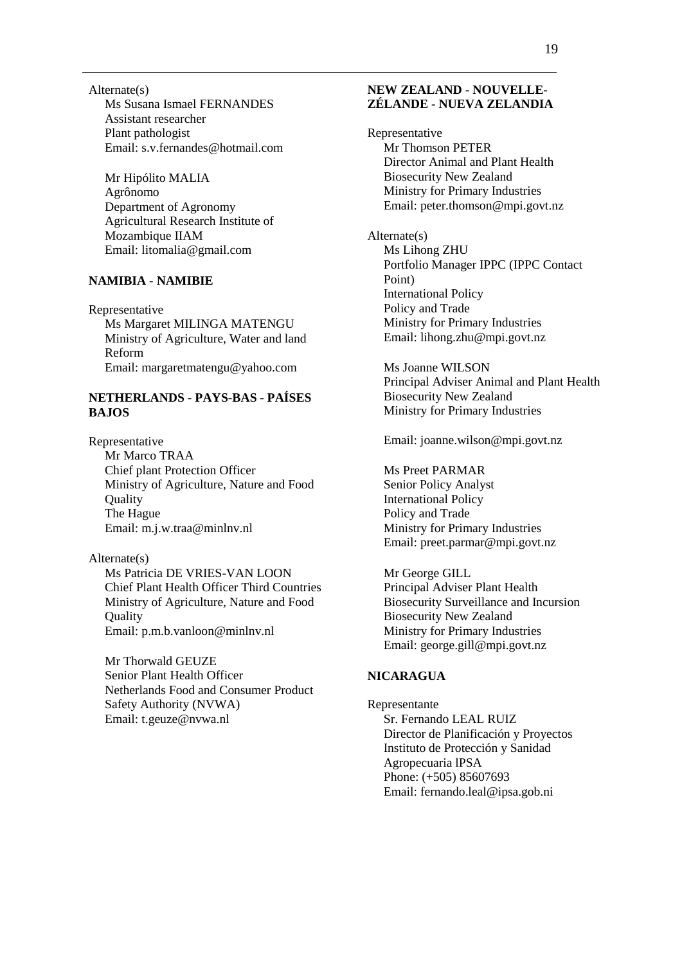Alternate(s) Ms Susana Ismael FERNANDES Assistant researcher Plant pathologist Email: s.v.fernandes@hotmail.com

Mr Hipólito MALIA Agrônomo Department of Agronomy Agricultural Research Institute of Mozambique IIAM Email: litomalia@gmail.com

#### **NAMIBIA - NAMIBIE**

Representative Ms Margaret MILINGA MATENGU Ministry of Agriculture, Water and land Reform Email: margaretmatengu@yahoo.com

## **NETHERLANDS - PAYS-BAS - PAÍSES BAJOS**

Representative Mr Marco TRAA Chief plant Protection Officer Ministry of Agriculture, Nature and Food **Ouality** The Hague Email: m.j.w.traa@minlnv.nl

Alternate(s) Ms Patricia DE VRIES-VAN LOON Chief Plant Health Officer Third Countries Ministry of Agriculture, Nature and Food **Ouality** Email: p.m.b.vanloon@minlnv.nl

Mr Thorwald GEUZE Senior Plant Health Officer Netherlands Food and Consumer Product Safety Authority (NVWA) Email: t.geuze@nvwa.nl

### **NEW ZEALAND - NOUVELLE-ZÉLANDE - NUEVA ZELANDIA**

Representative Mr Thomson PETER Director Animal and Plant Health Biosecurity New Zealand Ministry for Primary Industries Email: peter.thomson@mpi.govt.nz

Alternate(s) Ms Lihong ZHU Portfolio Manager IPPC (IPPC Contact Point) International Policy Policy and Trade Ministry for Primary Industries Email: lihong.zhu@mpi.govt.nz

Ms Joanne WILSON Principal Adviser Animal and Plant Health Biosecurity New Zealand Ministry for Primary Industries

Email: joanne.wilson@mpi.govt.nz

Ms Preet PARMAR Senior Policy Analyst International Policy Policy and Trade Ministry for Primary Industries Email: preet.parmar@mpi.govt.nz

Mr George GILL Principal Adviser Plant Health Biosecurity Surveillance and Incursion Biosecurity New Zealand Ministry for Primary Industries Email: george.gill@mpi.govt.nz

### **NICARAGUA**

Representante Sr. Fernando LEAL RUIZ Director de Planificación y Proyectos Instituto de Protección y Sanidad Agropecuaria lPSA Phone: (+505) 85607693 Email: fernando.leal@ipsa.gob.ni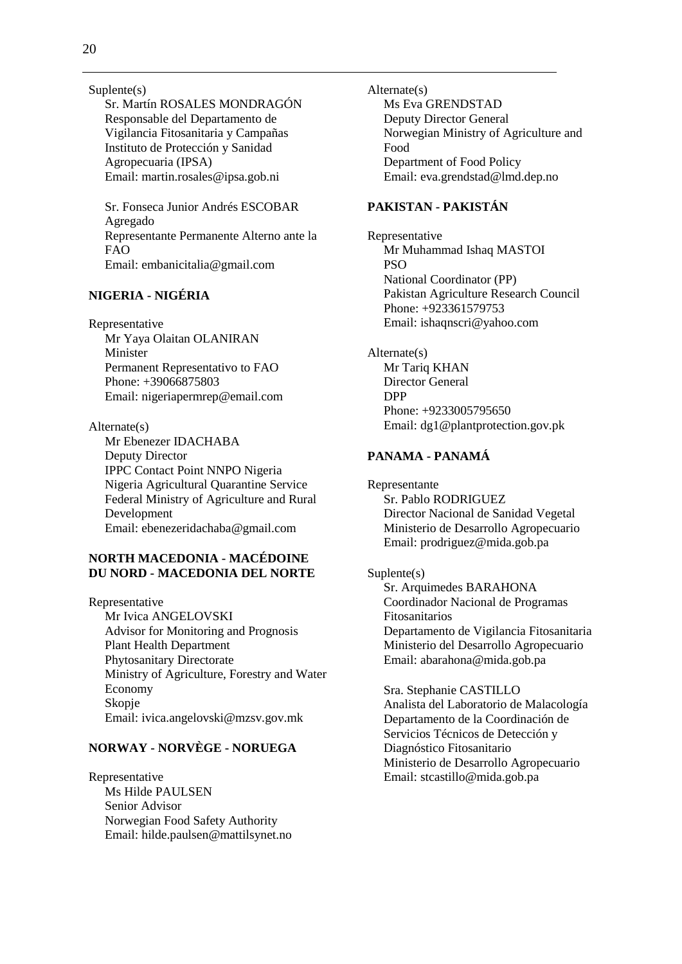Suplente(s)

Sr. Martín ROSALES MONDRAGÓN Responsable del Departamento de Vigilancia Fitosanitaria y Campañas Instituto de Protección y Sanidad Agropecuaria (IPSA) Email: martin.rosales@ipsa.gob.ni

Sr. Fonseca Junior Andrés ESCOBAR Agregado Representante Permanente Alterno ante la FAO Email: embanicitalia@gmail.com

## **NIGERIA - NIGÉRIA**

Representative

Mr Yaya Olaitan OLANIRAN Minister Permanent Representativo to FAO Phone: +39066875803 Email: nigeriapermrep@email.com

Alternate(s) Mr Ebenezer IDACHABA Deputy Director IPPC Contact Point NNPO Nigeria Nigeria Agricultural Quarantine Service Federal Ministry of Agriculture and Rural Development Email: ebenezeridachaba@gmail.com

## **NORTH MACEDONIA - MACÉDOINE DU NORD - MACEDONIA DEL NORTE**

Representative Mr Ivica ANGELOVSKI Advisor for Monitoring and Prognosis Plant Health Department Phytosanitary Directorate Ministry of Agriculture, Forestry and Water Economy Skopje Email: ivica.angelovski@mzsv.gov.mk

## **NORWAY - NORVÈGE - NORUEGA**

Representative Ms Hilde PAULSEN Senior Advisor Norwegian Food Safety Authority Email: hilde.paulsen@mattilsynet.no Alternate(s) Ms Eva GRENDSTAD Deputy Director General Norwegian Ministry of Agriculture and Food Department of Food Policy Email: eva.grendstad@lmd.dep.no

## **PAKISTAN - PAKISTÁN**

Representative Mr Muhammad Ishaq MASTOI PSO National Coordinator (PP) Pakistan Agriculture Research Council Phone: +923361579753 Email: ishaqnscri@yahoo.com

Alternate(s) Mr Tariq KHAN Director General DPP Phone: +9233005795650 Email: dg1@plantprotection.gov.pk

### **PANAMA - PANAMÁ**

Representante Sr. Pablo RODRIGUEZ Director Nacional de Sanidad Vegetal Ministerio de Desarrollo Agropecuario Email: prodriguez@mida.gob.pa

#### Suplente(s)

Sr. Arquimedes BARAHONA Coordinador Nacional de Programas Fitosanitarios Departamento de Vigilancia Fitosanitaria Ministerio del Desarrollo Agropecuario Email: abarahona@mida.gob.pa

Sra. Stephanie CASTILLO Analista del Laboratorio de Malacología Departamento de la Coordinación de Servicios Técnicos de Detección y Diagnóstico Fitosanitario Ministerio de Desarrollo Agropecuario Email: stcastillo@mida.gob.pa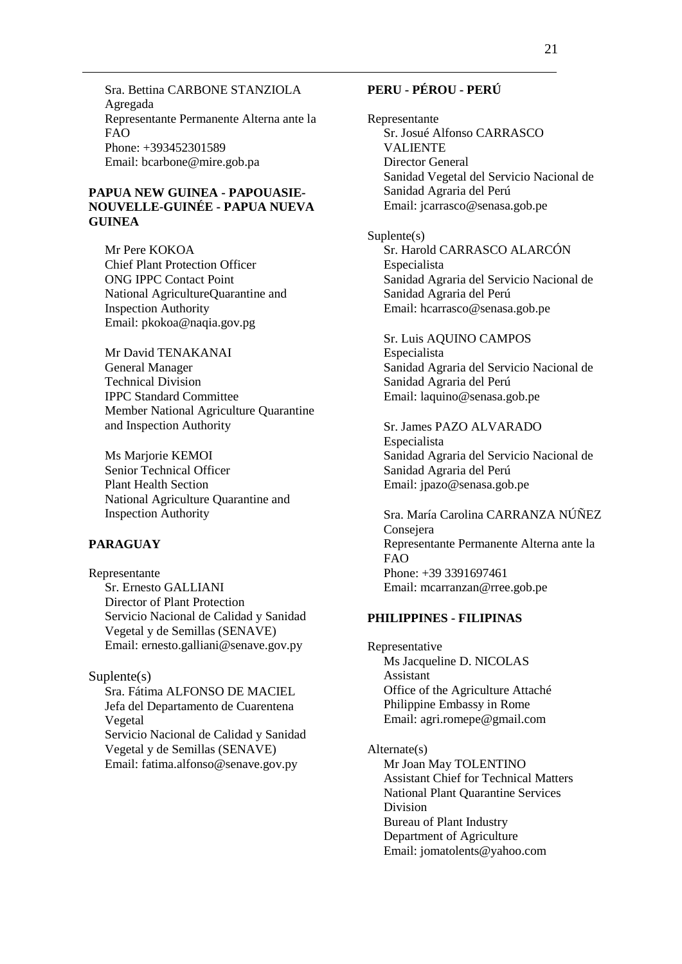Sra. Bettina CARBONE STANZIOLA Agregada Representante Permanente Alterna ante la FAO Phone: +393452301589 Email: bcarbone@mire.gob.pa

### **PAPUA NEW GUINEA - PAPOUASIE-NOUVELLE-GUINÉE - PAPUA NUEVA GUINEA**

Mr Pere KOKOA Chief Plant Protection Officer ONG IPPC Contact Point National AgricultureQuarantine and Inspection Authority Email: pkokoa@naqia.gov.pg

Mr David TENAKANAI General Manager Technical Division IPPC Standard Committee Member National Agriculture Quarantine and Inspection Authority

Ms Marjorie KEMOI Senior Technical Officer Plant Health Section National Agriculture Quarantine and Inspection Authority

## **PARAGUAY**

Representante Sr. Ernesto GALLIANI Director of Plant Protection Servicio Nacional de Calidad y Sanidad Vegetal y de Semillas (SENAVE) Email: ernesto.galliani@senave.gov.py

#### Suplente(s)

Sra. Fátima ALFONSO DE MACIEL Jefa del Departamento de Cuarentena Vegetal Servicio Nacional de Calidad y Sanidad Vegetal y de Semillas (SENAVE) Email: fatima.alfonso@senave.gov.py

## **PERU - PÉROU - PERÚ**

Representante Sr. Josué Alfonso CARRASCO VALIENTE Director General Sanidad Vegetal del Servicio Nacional de Sanidad Agraria del Perú Email: jcarrasco@senasa.gob.pe

Suplente(s) Sr. Harold CARRASCO ALARCÓN Especialista Sanidad Agraria del Servicio Nacional de Sanidad Agraria del Perú Email: hcarrasco@senasa.gob.pe

Sr. Luis AQUINO CAMPOS Especialista Sanidad Agraria del Servicio Nacional de Sanidad Agraria del Perú Email: laquino@senasa.gob.pe

Sr. James PAZO ALVARADO Especialista Sanidad Agraria del Servicio Nacional de Sanidad Agraria del Perú Email: jpazo@senasa.gob.pe

Sra. María Carolina CARRANZA NÚÑEZ Consejera Representante Permanente Alterna ante la FAO Phone: +39 3391697461 Email: mcarranzan@rree.gob.pe

#### **PHILIPPINES - FILIPINAS**

Representative Ms Jacqueline D. NICOLAS Assistant Office of the Agriculture Attaché Philippine Embassy in Rome Email: agri.romepe@gmail.com

Alternate(s) Mr Joan May TOLENTINO Assistant Chief for Technical Matters National Plant Quarantine Services Division Bureau of Plant Industry Department of Agriculture

Email: jomatolents@yahoo.com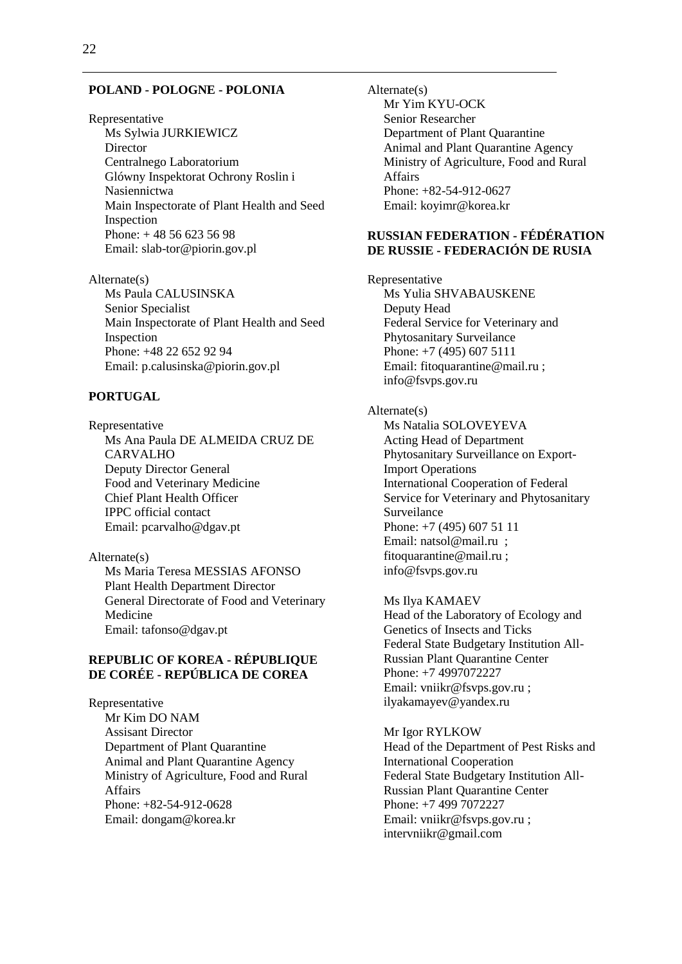#### **POLAND - POLOGNE - POLONIA**

Representative Ms Sylwia JURKIEWICZ **Director** Centralnego Laboratorium Glówny Inspektorat Ochrony Roslin i Nasiennictwa Main Inspectorate of Plant Health and Seed Inspection Phone: + 48 56 623 56 98 Email: slab-tor@piorin.gov.pl

Alternate(s) Ms Paula CALUSINSKA Senior Specialist Main Inspectorate of Plant Health and Seed Inspection Phone: +48 22 652 92 94 Email: p.calusinska@piorin.gov.pl

### **PORTUGAL**

Representative Ms Ana Paula DE ALMEIDA CRUZ DE CARVALHO Deputy Director General Food and Veterinary Medicine Chief Plant Health Officer IPPC official contact Email: pcarvalho@dgav.pt

#### Alternate(s)

Ms Maria Teresa MESSIAS AFONSO Plant Health Department Director General Directorate of Food and Veterinary Medicine Email: tafonso@dgav.pt

## **REPUBLIC OF KOREA - RÉPUBLIQUE DE CORÉE - REPÚBLICA DE COREA**

Representative Mr Kim DO NAM Assisant Director Department of Plant Quarantine Animal and Plant Quarantine Agency Ministry of Agriculture, Food and Rural Affairs Phone: +82-54-912-0628 Email: dongam@korea.kr

Alternate(s) Mr Yim KYU-OCK Senior Researcher Department of Plant Quarantine Animal and Plant Quarantine Agency Ministry of Agriculture, Food and Rural Affairs Phone: +82-54-912-0627 Email: koyimr@korea.kr

### **RUSSIAN FEDERATION - FÉDÉRATION DE RUSSIE - FEDERACIÓN DE RUSIA**

Representative Ms Yulia SHVABAUSKENE Deputy Head Federal Service for Veterinary and Phytosanitary Surveilance Phone: +7 (495) 607 5111 Email: fitoquarantine@mail.ru ; info@fsvps.gov.ru

#### Alternate(s)

Ms Natalia SOLOVEYEVA Acting Head of Department Phytosanitary Surveillance on Export-Import Operations International Cooperation of Federal Service for Veterinary and Phytosanitary Surveilance Phone: +7 (495) 607 51 11 Email: natsol@mail.ru ; fitoquarantine@mail.ru ; info@fsvps.gov.ru

Ms Ilya KAMAEV Head of the Laboratory of Ecology and Genetics of Insects and Ticks Federal State Budgetary Institution All-Russian Plant Quarantine Center Phone: +7 4997072227 Email: vniikr@fsvps.gov.ru ; ilyakamayev@yandex.ru

Mr Igor RYLKOW Head of the Department of Pest Risks and International Cooperation Federal State Budgetary Institution All-Russian Plant Quarantine Center Phone: +7 499 7072227 Email: vniikr@fsvps.gov.ru ; intervniikr@gmail.com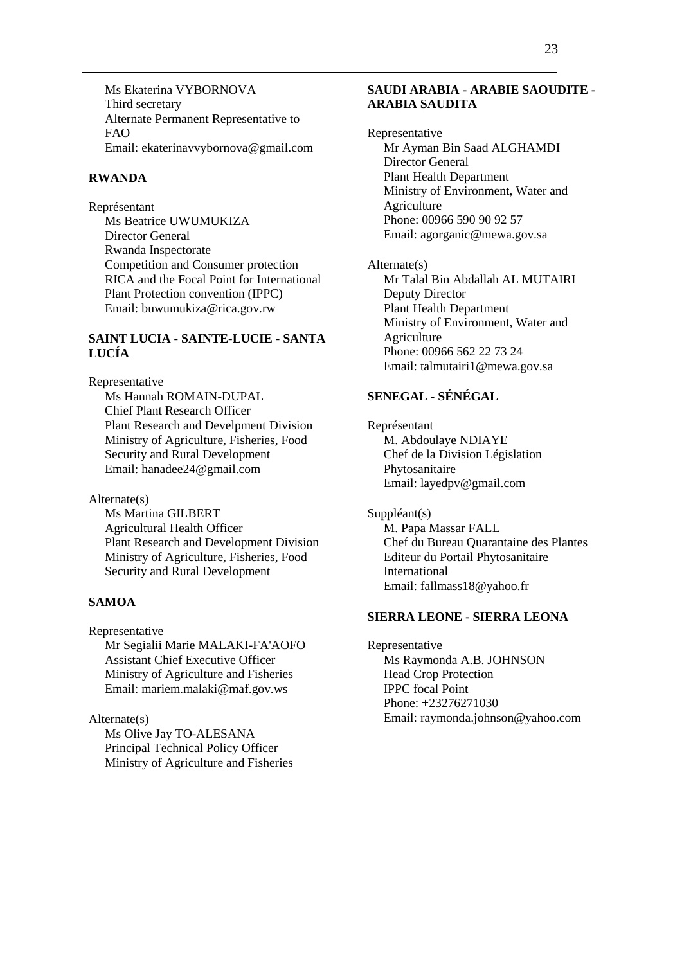Ms Ekaterina VYBORNOVA Third secretary Alternate Permanent Representative to FAO Email: ekaterinavvybornova@gmail.com

#### **RWANDA**

Représentant Ms Beatrice UWUMUKIZA Director General Rwanda Inspectorate Competition and Consumer protection RICA and the Focal Point for International Plant Protection convention (IPPC) Email: buwumukiza@rica.gov.rw

### **SAINT LUCIA - SAINTE-LUCIE - SANTA LUCÍA**

Representative

Ms Hannah ROMAIN-DUPAL Chief Plant Research Officer Plant Research and Develpment Division Ministry of Agriculture, Fisheries, Food Security and Rural Development Email: hanadee24@gmail.com

Alternate(s)

Ms Martina GILBERT Agricultural Health Officer Plant Research and Development Division Ministry of Agriculture, Fisheries, Food Security and Rural Development

## **SAMOA**

Representative Mr Segialii Marie MALAKI-FA'AOFO Assistant Chief Executive Officer Ministry of Agriculture and Fisheries Email: mariem.malaki@maf.gov.ws

Alternate(s) Ms Olive Jay TO-ALESANA Principal Technical Policy Officer Ministry of Agriculture and Fisheries

#### **SAUDI ARABIA - ARABIE SAOUDITE - ARABIA SAUDITA**

Representative Mr Ayman Bin Saad ALGHAMDI Director General Plant Health Department Ministry of Environment, Water and Agriculture Phone: 00966 590 90 92 57 Email: agorganic@mewa.gov.sa

Alternate(s) Mr Talal Bin Abdallah AL MUTAIRI Deputy Director Plant Health Department Ministry of Environment, Water and Agriculture Phone: 00966 562 22 73 24 Email: talmutairi1@mewa.gov.sa

## **SENEGAL - SÉNÉGAL**

Représentant M. Abdoulaye NDIAYE Chef de la Division Législation Phytosanitaire Email: layedpv@gmail.com

Suppléant(s) M. Papa Massar FALL Chef du Bureau Quarantaine des Plantes Editeur du Portail Phytosanitaire International Email: fallmass18@yahoo.fr

#### **SIERRA LEONE - SIERRA LEONA**

Representative Ms Raymonda A.B. JOHNSON Head Crop Protection IPPC focal Point Phone: +23276271030 Email: raymonda.johnson@yahoo.com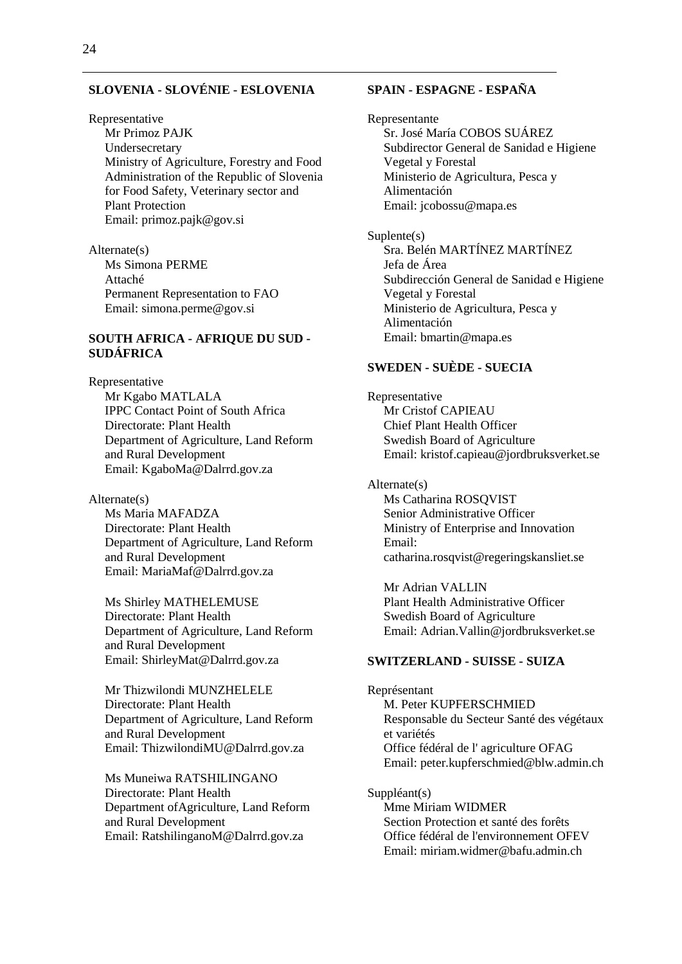### **SLOVENIA - SLOVÉNIE - ESLOVENIA**

Representative

Mr Primoz PAJK Undersecretary Ministry of Agriculture, Forestry and Food Administration of the Republic of Slovenia for Food Safety, Veterinary sector and Plant Protection Email: primoz.pajk@gov.si

Alternate(s) Ms Simona PERME Attaché Permanent Representation to FAO Email: simona.perme@gov.si

### **SOUTH AFRICA - AFRIQUE DU SUD - SUDÁFRICA**

Representative Mr Kgabo MATLALA IPPC Contact Point of South Africa Directorate: Plant Health Department of Agriculture, Land Reform and Rural Development Email: KgaboMa@Dalrrd.gov.za

Alternate(s) Ms Maria MAFADZA Directorate: Plant Health Department of Agriculture, Land Reform and Rural Development Email: MariaMaf@Dalrrd.gov.za

Ms Shirley MATHELEMUSE Directorate: Plant Health Department of Agriculture, Land Reform and Rural Development Email: ShirleyMat@Dalrrd.gov.za

Mr Thizwilondi MUNZHELELE Directorate: Plant Health Department of Agriculture, Land Reform and Rural Development Email: ThizwilondiMU@Dalrrd.gov.za

Ms Muneiwa RATSHILINGANO Directorate: Plant Health Department ofAgriculture, Land Reform and Rural Development Email: RatshilinganoM@Dalrrd.gov.za

### **SPAIN - ESPAGNE - ESPAÑA**

Representante Sr. José María COBOS SUÁREZ Subdirector General de Sanidad e Higiene Vegetal y Forestal Ministerio de Agricultura, Pesca y Alimentación Email: jcobossu@mapa.es Suplente(s)

Sra. Belén MARTÍNEZ MARTÍNEZ Jefa de Área Subdirección General de Sanidad e Higiene Vegetal y Forestal Ministerio de Agricultura, Pesca y Alimentación Email: bmartin@mapa.es

#### **SWEDEN - SUÈDE - SUECIA**

Representative Mr Cristof CAPIEAU Chief Plant Health Officer Swedish Board of Agriculture Email: kristof.capieau@jordbruksverket.se

Alternate(s) Ms Catharina ROSQVIST Senior Administrative Officer Ministry of Enterprise and Innovation Email: catharina.rosqvist@regeringskansliet.se

Mr Adrian VALLIN Plant Health Administrative Officer Swedish Board of Agriculture Email: Adrian.Vallin@jordbruksverket.se

#### **SWITZERLAND - SUISSE - SUIZA**

Représentant M. Peter KUPFERSCHMIED Responsable du Secteur Santé des végétaux et variétés Office fédéral de l' agriculture OFAG Email: peter.kupferschmied@blw.admin.ch

Suppléant(s) Mme Miriam WIDMER Section Protection et santé des forêts Office fédéral de l'environnement OFEV Email: miriam.widmer@bafu.admin.ch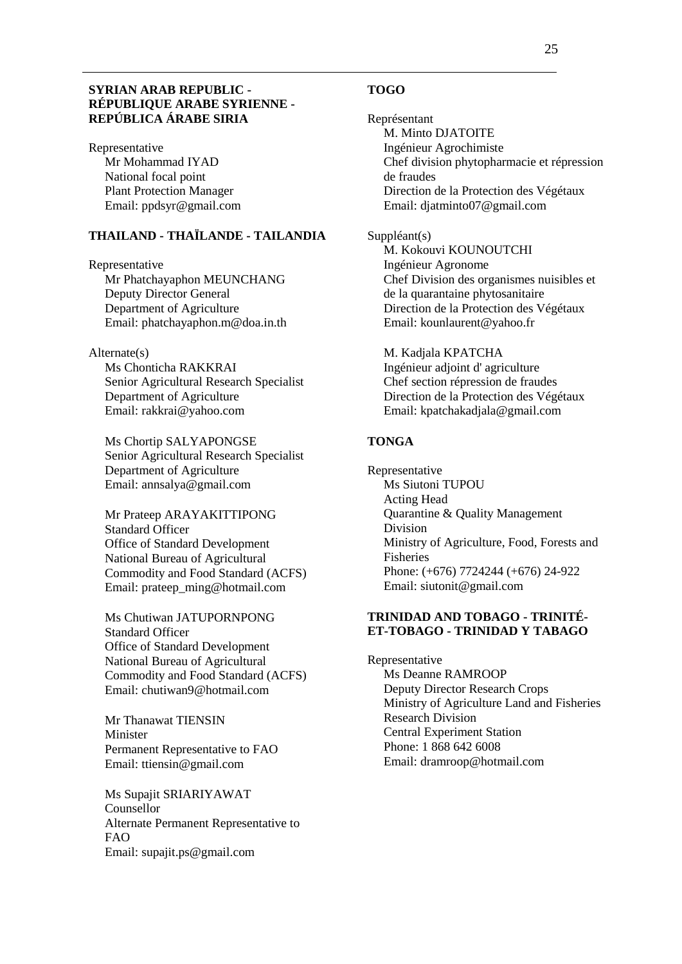#### **SYRIAN ARAB REPUBLIC - RÉPUBLIQUE ARABE SYRIENNE - REPÚBLICA ÁRABE SIRIA**

Representative Mr Mohammad IYAD National focal point Plant Protection Manager Email: ppdsyr@gmail.com

## **THAILAND - THAÏLANDE - TAILANDIA**

Representative Mr Phatchayaphon MEUNCHANG Deputy Director General Department of Agriculture Email: phatchayaphon.m@doa.in.th

#### Alternate(s)

Ms Chonticha RAKKRAI Senior Agricultural Research Specialist Department of Agriculture Email: rakkrai@yahoo.com

Ms Chortip SALYAPONGSE Senior Agricultural Research Specialist Department of Agriculture Email: annsalya@gmail.com

Mr Prateep ARAYAKITTIPONG Standard Officer Office of Standard Development National Bureau of Agricultural Commodity and Food Standard (ACFS) Email: prateep\_ming@hotmail.com

Ms Chutiwan JATUPORNPONG Standard Officer Office of Standard Development National Bureau of Agricultural Commodity and Food Standard (ACFS) Email: chutiwan9@hotmail.com

Mr Thanawat TIENSIN Minister Permanent Representative to FAO Email: ttiensin@gmail.com

Ms Supajit SRIARIYAWAT Counsellor Alternate Permanent Representative to FAO Email: supajit.ps@gmail.com

#### **TOGO**

Représentant M. Minto DJATOITE Ingénieur Agrochimiste Chef division phytopharmacie et répression de fraudes Direction de la Protection des Végétaux Email: djatminto07@gmail.com

#### Suppléant(s)

M. Kokouvi KOUNOUTCHI Ingénieur Agronome Chef Division des organismes nuisibles et de la quarantaine phytosanitaire Direction de la Protection des Végétaux Email: kounlaurent@yahoo.fr

M. Kadjala KPATCHA Ingénieur adjoint d' agriculture Chef section répression de fraudes Direction de la Protection des Végétaux Email: kpatchakadjala@gmail.com

### **TONGA**

Representative Ms Siutoni TUPOU Acting Head Quarantine & Quality Management Division Ministry of Agriculture, Food, Forests and Fisheries Phone: (+676) 7724244 (+676) 24-922 Email: siutonit@gmail.com

#### **TRINIDAD AND TOBAGO - TRINITÉ-ET-TOBAGO - TRINIDAD Y TABAGO**

Representative Ms Deanne RAMROOP Deputy Director Research Crops Ministry of Agriculture Land and Fisheries Research Division Central Experiment Station Phone: 1 868 642 6008 Email: dramroop@hotmail.com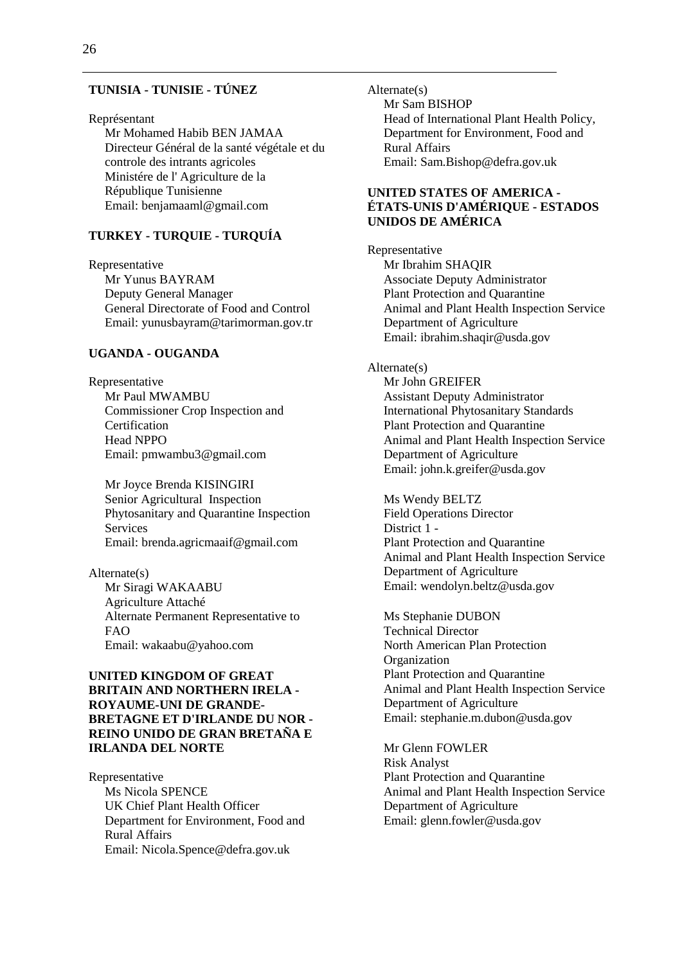#### **TUNISIA - TUNISIE - TÚNEZ**

#### Représentant

Mr Mohamed Habib BEN JAMAA Directeur Général de la santé végétale et du controle des intrants agricoles Ministére de l' Agriculture de la République Tunisienne Email: benjamaaml@gmail.com

## **TURKEY - TURQUIE - TURQUÍA**

Representative Mr Yunus BAYRAM Deputy General Manager General Directorate of Food and Control Email: yunusbayram@tarimorman.gov.tr

#### **UGANDA - OUGANDA**

Representative Mr Paul MWAMBU Commissioner Crop Inspection and Certification Head NPPO Email: pmwambu3@gmail.com

Mr Joyce Brenda KISINGIRI Senior Agricultural Inspection Phytosanitary and Quarantine Inspection Services Email: brenda.agricmaaif@gmail.com

Alternate(s) Mr Siragi WAKAABU Agriculture Attaché Alternate Permanent Representative to FAO Email: wakaabu@yahoo.com

### **UNITED KINGDOM OF GREAT BRITAIN AND NORTHERN IRELA - ROYAUME-UNI DE GRANDE-BRETAGNE ET D'IRLANDE DU NOR - REINO UNIDO DE GRAN BRETAÑA E IRLANDA DEL NORTE**

Representative Ms Nicola SPENCE UK Chief Plant Health Officer Department for Environment, Food and Rural Affairs Email: Nicola.Spence@defra.gov.uk

Alternate(s) Mr Sam BISHOP Head of International Plant Health Policy, Department for Environment, Food and Rural Affairs Email: Sam.Bishop@defra.gov.uk

### **UNITED STATES OF AMERICA - ÉTATS-UNIS D'AMÉRIQUE - ESTADOS UNIDOS DE AMÉRICA**

Representative Mr Ibrahim SHAQIR Associate Deputy Administrator Plant Protection and Quarantine Animal and Plant Health Inspection Service Department of Agriculture Email: ibrahim.shaqir@usda.gov

#### Alternate(s)

Mr John GREIFER Assistant Deputy Administrator International Phytosanitary Standards Plant Protection and Quarantine Animal and Plant Health Inspection Service Department of Agriculture Email: john.k.greifer@usda.gov

Ms Wendy BELTZ Field Operations Director District 1 - Plant Protection and Quarantine Animal and Plant Health Inspection Service Department of Agriculture Email: wendolyn.beltz@usda.gov

Ms Stephanie DUBON Technical Director North American Plan Protection **Organization** Plant Protection and Quarantine Animal and Plant Health Inspection Service Department of Agriculture Email: stephanie.m.dubon@usda.gov

Mr Glenn FOWLER Risk Analyst Plant Protection and Quarantine Animal and Plant Health Inspection Service Department of Agriculture Email: glenn.fowler@usda.gov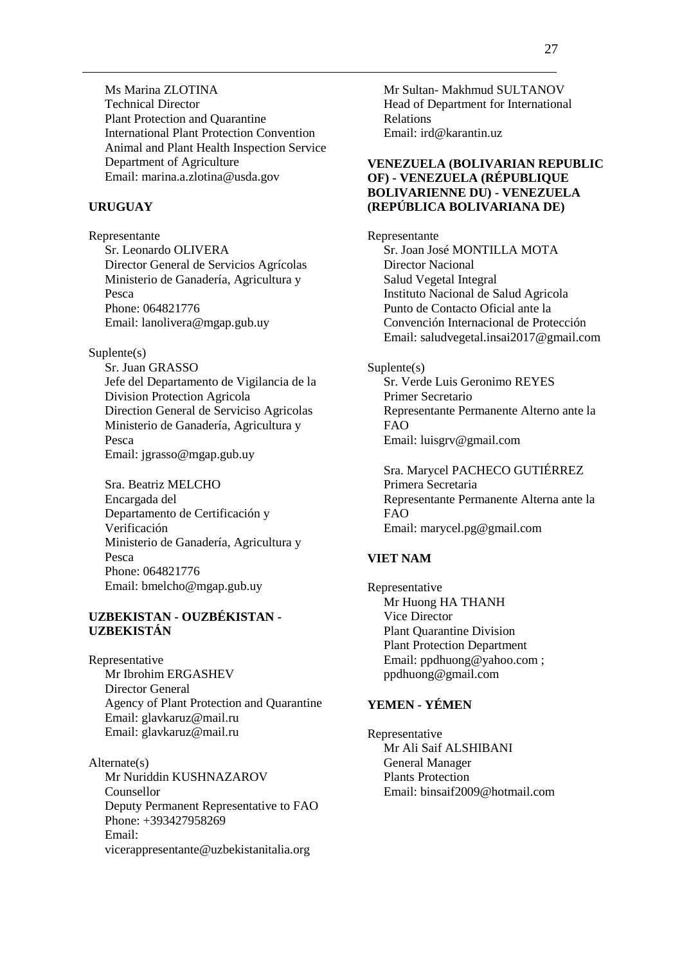Ms Marina ZLOTINA Technical Director Plant Protection and Quarantine International Plant Protection Convention Animal and Plant Health Inspection Service Department of Agriculture Email: marina.a.zlotina@usda.gov

#### **URUGUAY**

Representante Sr. Leonardo OLIVERA Director General de Servicios Agrícolas Ministerio de Ganadería, Agricultura y Pesca Phone: 064821776 Email: lanolivera@mgap.gub.uy

#### Suplente(s)

Sr. Juan GRASSO Jefe del Departamento de Vigilancia de la Division Protection Agricola Direction General de Serviciso Agricolas Ministerio de Ganadería, Agricultura y Pesca Email: jgrasso@mgap.gub.uy

Sra. Beatriz MELCHO Encargada del Departamento de Certificación y Verificación Ministerio de Ganadería, Agricultura y Pesca Phone: 064821776 Email: bmelcho@mgap.gub.uy

### **UZBEKISTAN - OUZBÉKISTAN - UZBEKISTÁN**

Representative Mr Ibrohim ERGASHEV Director General Agency of Plant Protection and Quarantine Email: glavkaruz@mail.ru Email: glavkaruz@mail.ru

Alternate(s) Mr Nuriddin KUSHNAZAROV Counsellor Deputy Permanent Representative to FAO Phone: +393427958269 Email: vicerappresentante@uzbekistanitalia.org

Mr Sultan- Makhmud SULTANOV Head of Department for International Relations Email: ird@karantin.uz

### **VENEZUELA (BOLIVARIAN REPUBLIC OF) - VENEZUELA (RÉPUBLIQUE BOLIVARIENNE DU) - VENEZUELA (REPÚBLICA BOLIVARIANA DE)**

Representante Sr. Joan José MONTILLA MOTA Director Nacional Salud Vegetal Integral Instituto Nacional de Salud Agricola Punto de Contacto Oficial ante la Convención Internacional de Protección Email: saludvegetal.insai2017@gmail.com

#### Suplente(s)

Sr. Verde Luis Geronimo REYES Primer Secretario Representante Permanente Alterno ante la FAO Email: luisgrv@gmail.com

Sra. Marycel PACHECO GUTIÉRREZ Primera Secretaria Representante Permanente Alterna ante la FAO Email: marycel.pg@gmail.com

### **VIET NAM**

Representative Mr Huong HA THANH Vice Director Plant Quarantine Division Plant Protection Department Email: ppdhuong@yahoo.com ; ppdhuong@gmail.com

## **YEMEN - YÉMEN**

Representative Mr Ali Saif ALSHIBANI General Manager Plants Protection Email: binsaif2009@hotmail.com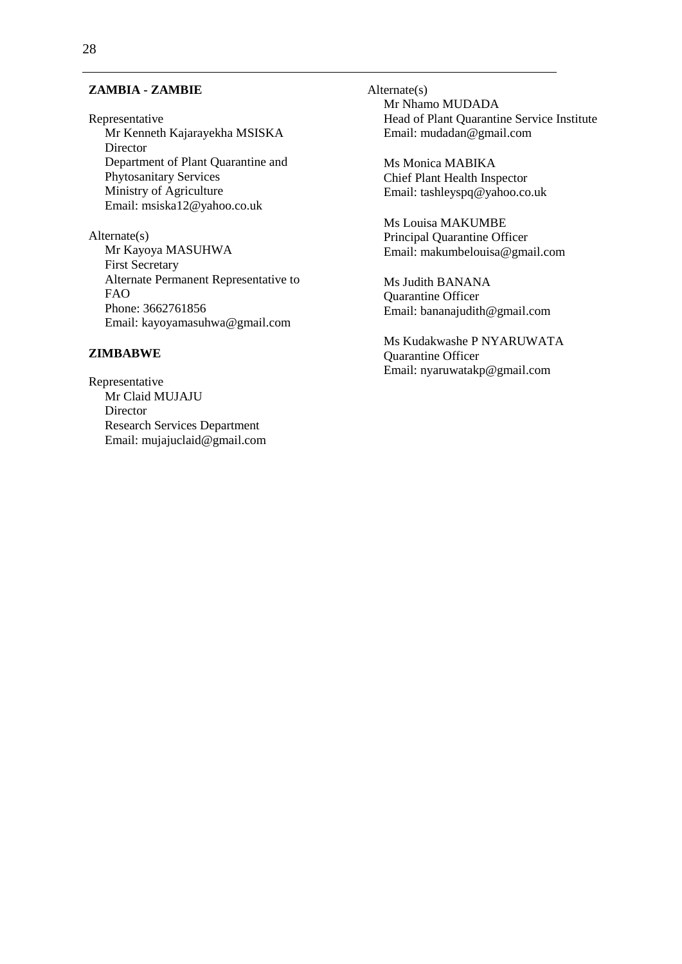#### **ZAMBIA - ZAMBIE**

Representative Mr Kenneth Kajarayekha MSISKA Director Department of Plant Quarantine and Phytosanitary Services Ministry of Agriculture Email: msiska12@yahoo.co.uk

Alternate(s) Mr Kayoya MASUHWA First Secretary Alternate Permanent Representative to FAO Phone: 3662761856 Email: kayoyamasuhwa@gmail.com

#### **ZIMBABWE**

Representative Mr Claid MUJAJU **Director** Research Services Department Email: mujajuclaid@gmail.com Alternate(s) Mr Nhamo MUDADA Head of Plant Quarantine Service Institute Email: mudadan@gmail.com

Ms Monica MABIKA Chief Plant Health Inspector Email: tashleyspq@yahoo.co.uk

Ms Louisa MAKUMBE Principal Quarantine Officer Email: makumbelouisa@gmail.com

Ms Judith BANANA Quarantine Officer Email: bananajudith@gmail.com

Ms Kudakwashe P NYARUWATA Quarantine Officer Email: nyaruwatakp@gmail.com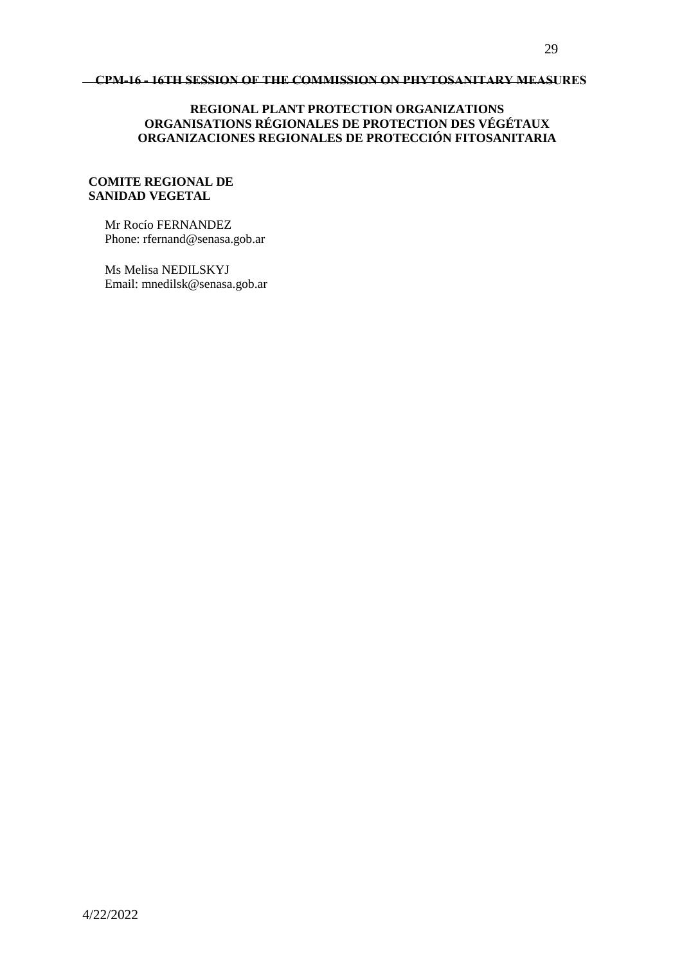#### **CPM-16 - 16TH SESSION OF THE COMMISSION ON PHYTOSANITARY MEASURES**

### **REGIONAL PLANT PROTECTION ORGANIZATIONS ORGANISATIONS RÉGIONALES DE PROTECTION DES VÉGÉTAUX ORGANIZACIONES REGIONALES DE PROTECCIÓN FITOSANITARIA**

#### **COMITE REGIONAL DE SANIDAD VEGETAL**

Mr Rocío FERNANDEZ Phone: rfernand@senasa.gob.ar

Ms Melisa NEDILSKYJ Email: mnedilsk@senasa.gob.ar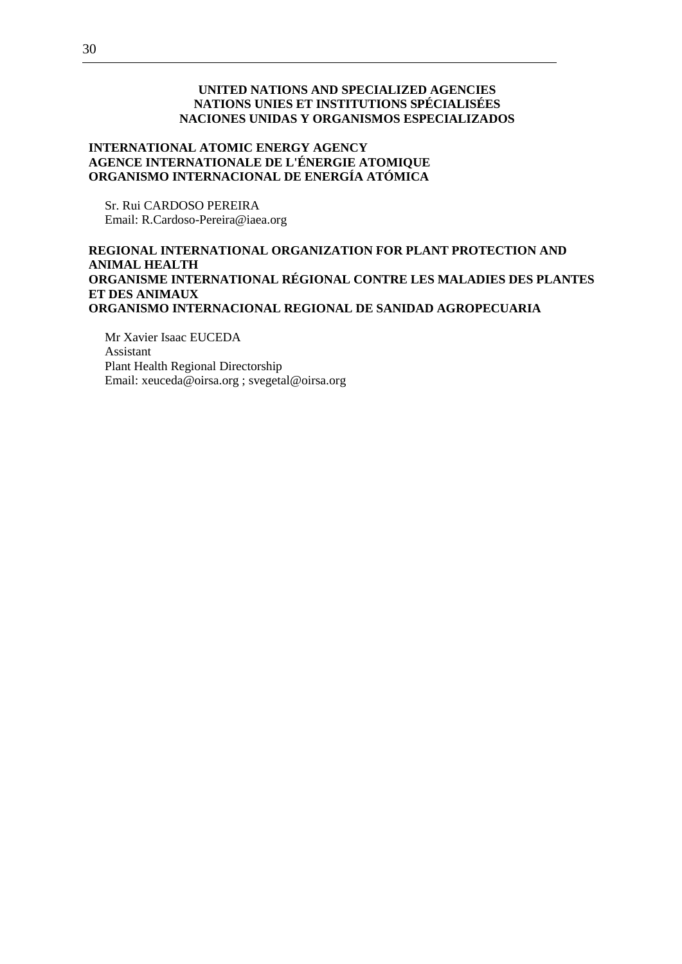### **UNITED NATIONS AND SPECIALIZED AGENCIES NATIONS UNIES ET INSTITUTIONS SPÉCIALISÉES NACIONES UNIDAS Y ORGANISMOS ESPECIALIZADOS**

## **INTERNATIONAL ATOMIC ENERGY AGENCY AGENCE INTERNATIONALE DE L'ÉNERGIE ATOMIQUE ORGANISMO INTERNACIONAL DE ENERGÍA ATÓMICA**

Sr. Rui CARDOSO PEREIRA Email: R.Cardoso-Pereira@iaea.org

### **REGIONAL INTERNATIONAL ORGANIZATION FOR PLANT PROTECTION AND ANIMAL HEALTH ORGANISME INTERNATIONAL RÉGIONAL CONTRE LES MALADIES DES PLANTES ET DES ANIMAUX ORGANISMO INTERNACIONAL REGIONAL DE SANIDAD AGROPECUARIA**

Mr Xavier Isaac EUCEDA Assistant Plant Health Regional Directorship Email: xeuceda@oirsa.org ; svegetal@oirsa.org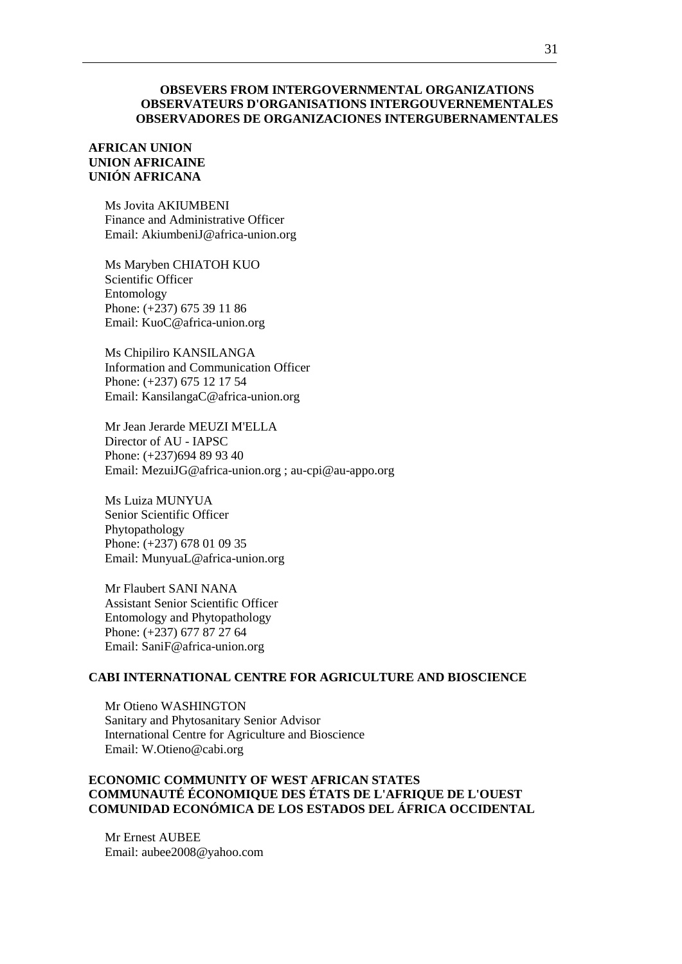#### **OBSEVERS FROM INTERGOVERNMENTAL ORGANIZATIONS OBSERVATEURS D'ORGANISATIONS INTERGOUVERNEMENTALES OBSERVADORES DE ORGANIZACIONES INTERGUBERNAMENTALES**

#### **AFRICAN UNION UNION AFRICAINE UNIÓN AFRICANA**

Ms Jovita AKIUMBENI Finance and Administrative Officer Email: AkiumbeniJ@africa-union.org

Ms Maryben CHIATOH KUO Scientific Officer Entomology Phone: (+237) 675 39 11 86 Email: KuoC@africa-union.org

Ms Chipiliro KANSILANGA Information and Communication Officer Phone: (+237) 675 12 17 54 Email: KansilangaC@africa-union.org

Mr Jean Jerarde MEUZI M'ELLA Director of AU - IAPSC Phone: (+237)694 89 93 40 Email: MezuiJG@africa-union.org ; au-cpi@au-appo.org

Ms Luiza MUNYUA Senior Scientific Officer Phytopathology Phone: (+237) 678 01 09 35 Email: MunyuaL@africa-union.org

Mr Flaubert SANI NANA Assistant Senior Scientific Officer Entomology and Phytopathology Phone: (+237) 677 87 27 64 Email: SaniF@africa-union.org

#### **CABI INTERNATIONAL CENTRE FOR AGRICULTURE AND BIOSCIENCE**

Mr Otieno WASHINGTON Sanitary and Phytosanitary Senior Advisor International Centre for Agriculture and Bioscience Email: W.Otieno@cabi.org

### **ECONOMIC COMMUNITY OF WEST AFRICAN STATES COMMUNAUTÉ ÉCONOMIQUE DES ÉTATS DE L'AFRIQUE DE L'OUEST COMUNIDAD ECONÓMICA DE LOS ESTADOS DEL ÁFRICA OCCIDENTAL**

Mr Ernest AUBEE Email: aubee2008@yahoo.com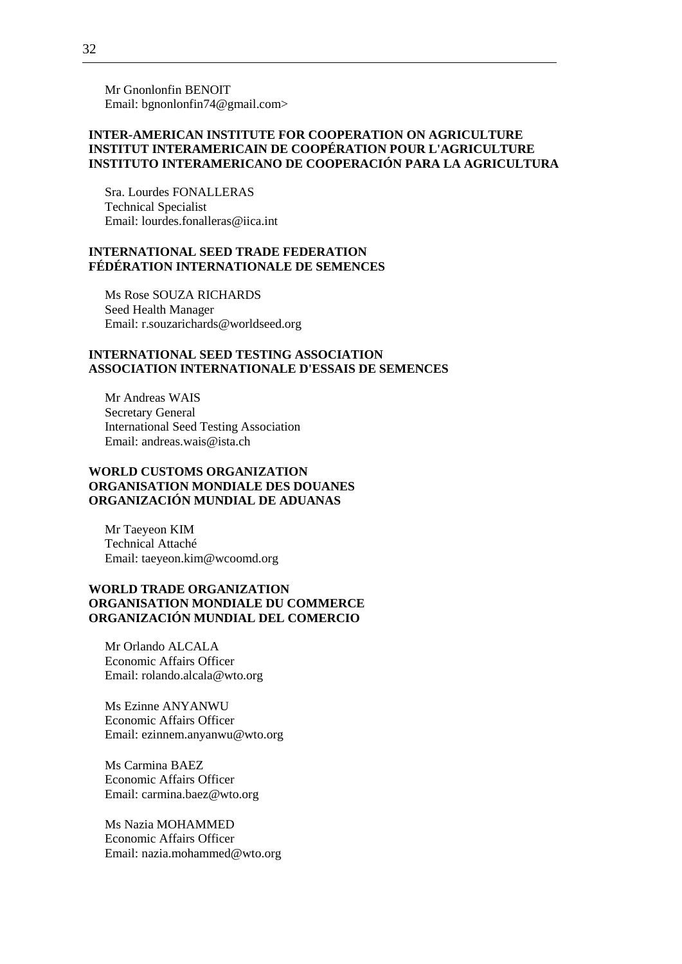Mr Gnonlonfin BENOIT Email: bgnonlonfin74@gmail.com>

### **INTER-AMERICAN INSTITUTE FOR COOPERATION ON AGRICULTURE INSTITUT INTERAMERICAIN DE COOPÉRATION POUR L'AGRICULTURE INSTITUTO INTERAMERICANO DE COOPERACIÓN PARA LA AGRICULTURA**

Sra. Lourdes FONALLERAS Technical Specialist Email: lourdes.fonalleras@iica.int

#### **INTERNATIONAL SEED TRADE FEDERATION FÉDÉRATION INTERNATIONALE DE SEMENCES**

Ms Rose SOUZA RICHARDS Seed Health Manager Email: r.souzarichards@worldseed.org

#### **INTERNATIONAL SEED TESTING ASSOCIATION ASSOCIATION INTERNATIONALE D'ESSAIS DE SEMENCES**

Mr Andreas WAIS Secretary General International Seed Testing Association Email: andreas.wais@ista.ch

### **WORLD CUSTOMS ORGANIZATION ORGANISATION MONDIALE DES DOUANES ORGANIZACIÓN MUNDIAL DE ADUANAS**

Mr Taeyeon KIM Technical Attaché Email: taeyeon.kim@wcoomd.org

### **WORLD TRADE ORGANIZATION ORGANISATION MONDIALE DU COMMERCE ORGANIZACIÓN MUNDIAL DEL COMERCIO**

Mr Orlando ALCALA Economic Affairs Officer Email: rolando.alcala@wto.org

Ms Ezinne ANYANWU Economic Affairs Officer Email: ezinnem.anyanwu@wto.org

Ms Carmina BAEZ Economic Affairs Officer Email: carmina.baez@wto.org

Ms Nazia MOHAMMED Economic Affairs Officer Email: nazia.mohammed@wto.org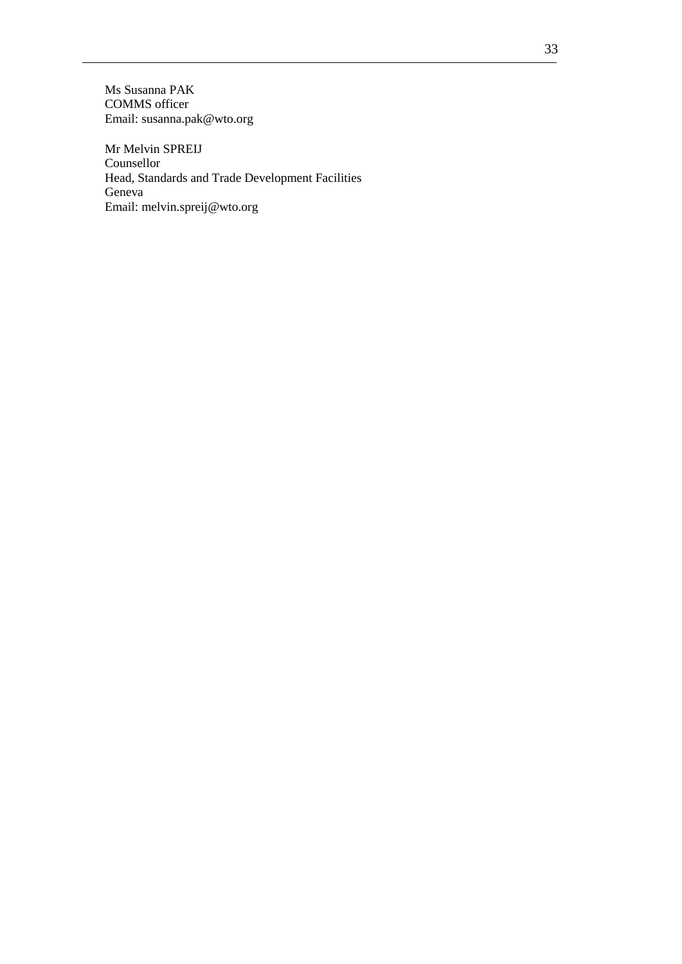Ms Susanna PAK COMMS officer Email: susanna.pak@wto.org

Mr Melvin SPREIJ Counsellor Head, Standards and Trade Development Facilities Geneva Email: melvin.spreij@wto.org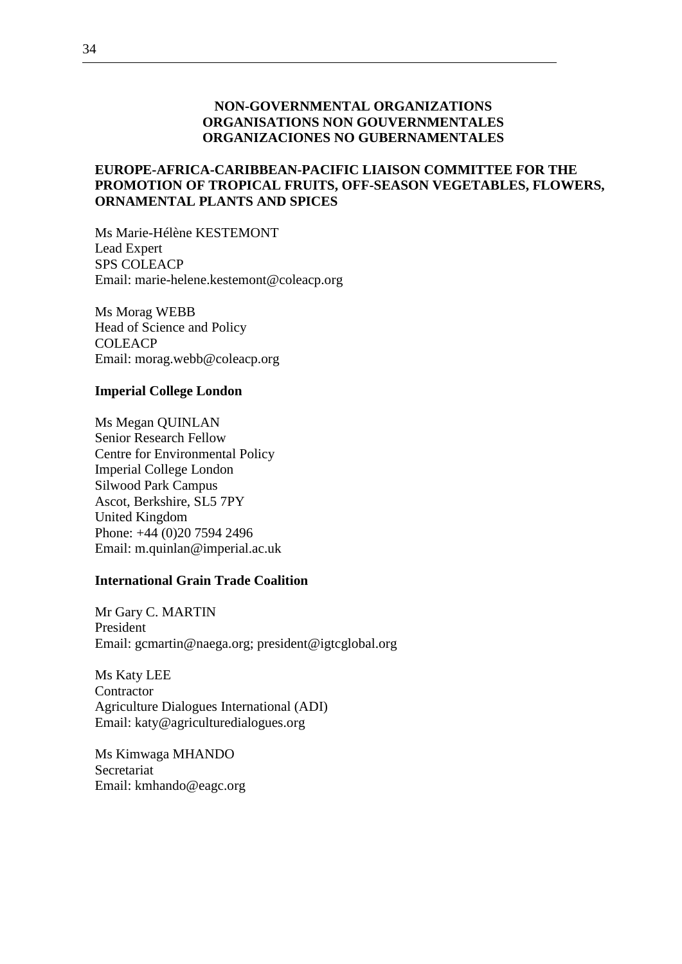## **NON-GOVERNMENTAL ORGANIZATIONS ORGANISATIONS NON GOUVERNMENTALES ORGANIZACIONES NO GUBERNAMENTALES**

## **EUROPE-AFRICA-CARIBBEAN-PACIFIC LIAISON COMMITTEE FOR THE PROMOTION OF TROPICAL FRUITS, OFF-SEASON VEGETABLES, FLOWERS, ORNAMENTAL PLANTS AND SPICES**

Ms Marie-Hélène KESTEMONT Lead Expert SPS COLEACP Email: marie-helene.kestemont@coleacp.org

Ms Morag WEBB Head of Science and Policy **COLEACP** Email: morag.webb@coleacp.org

## **Imperial College London**

Ms Megan QUINLAN Senior Research Fellow Centre for Environmental Policy Imperial College London Silwood Park Campus Ascot, Berkshire, SL5 7PY United Kingdom Phone: +44 (0)20 7594 2496 Email: m.quinlan@imperial.ac.uk

#### **International Grain Trade Coalition**

Mr Gary C. MARTIN President Email: gcmartin@naega.org; president@igtcglobal.org

Ms Katy LEE **Contractor** Agriculture Dialogues International (ADI) Email: katy@agriculturedialogues.org

Ms Kimwaga MHANDO Secretariat Email: kmhando@eagc.org